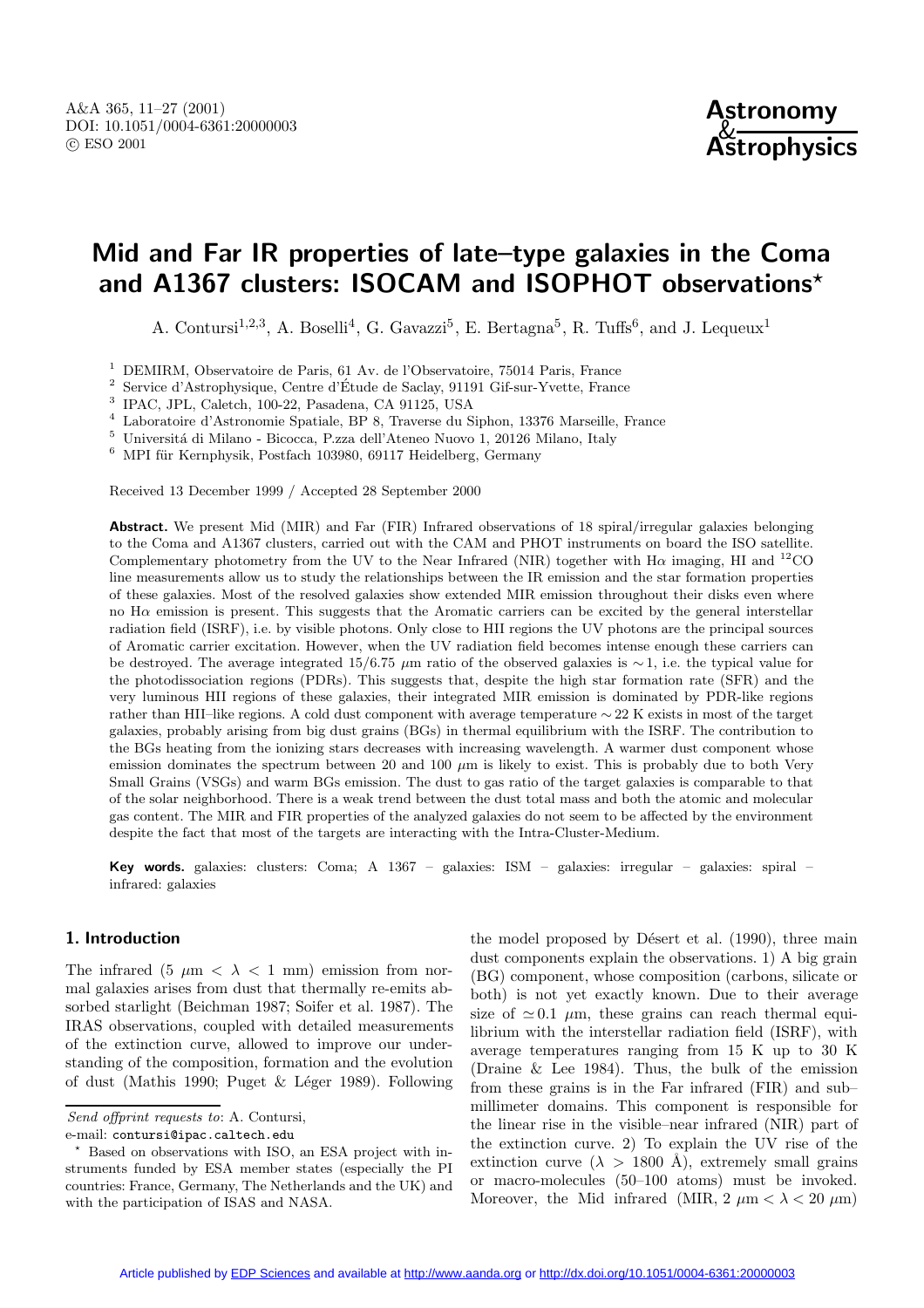# **Mid and Far IR properties of late–type galaxies in the Coma and A1367 clusters: ISOCAM and ISOPHOT observations***?*

A. Contursi<sup>1,2,3</sup>, A. Boselli<sup>4</sup>, G. Gavazzi<sup>5</sup>, E. Bertagna<sup>5</sup>, R. Tuffs<sup>6</sup>, and J. Lequeux<sup>1</sup>

<sup>1</sup> DEMIRM, Observatoire de Paris, 61 Av. de l'Observatoire, 75014 Paris, France<br><sup>2</sup> Service d'Astrophysique, Centre d'Étude de Seeley, 01101 Cif sur Vyatte, France

<sup>2</sup> Service d'Astrophysique, Centre d'Étude de Saclay, 91191 Gif-sur-Yvette, France  $\frac{3}{5}$  IDAC. IDL Coletebration 22 Pesadena CA 01125 IISA

<sup>3</sup> IPAC, JPL, Caletch, 100-22, Pasadena, CA 91125, USA

<sup>4</sup> Laboratoire d'Astronomie Spatiale, BP 8, Traverse du Siphon, 13376 Marseille, France

 $^5\,$ Universitá di Milano - Bicocca, P.zza dell'Ateneo Nuovo 1, 20126 Milano, Italy

 $6$  MPI für Kernphysik, Postfach 103980, 69117 Heidelberg, Germany

Received 13 December 1999 / Accepted 28 September 2000

**Abstract.** We present Mid (MIR) and Far (FIR) Infrared observations of 18 spiral/irregular galaxies belonging to the Coma and A1367 clusters, carried out with the CAM and PHOT instruments on board the ISO satellite. Complementary photometry from the UV to the Near Infrared (NIR) together with  $H\alpha$  imaging, HI and <sup>12</sup>CO line measurements allow us to study the relationships between the IR emission and the star formation properties of these galaxies. Most of the resolved galaxies show extended MIR emission throughout their disks even where no  $H\alpha$  emission is present. This suggests that the Aromatic carriers can be excited by the general interstellar radiation field (ISRF), i.e. by visible photons. Only close to HII regions the UV photons are the principal sources of Aromatic carrier excitation. However, when the UV radiation field becomes intense enough these carriers can be destroyed. The average integrated 15/6.75  $\mu$ m ratio of the observed galaxies is ∼1, i.e. the typical value for the photodissociation regions (PDRs). This suggests that, despite the high star formation rate (SFR) and the very luminous HII regions of these galaxies, their integrated MIR emission is dominated by PDR-like regions rather than HII–like regions. A cold dust component with average temperature ∼ 22 K exists in most of the target galaxies, probably arising from big dust grains (BGs) in thermal equilibrium with the ISRF. The contribution to the BGs heating from the ionizing stars decreases with increasing wavelength. A warmer dust component whose emission dominates the spectrum between 20 and 100  $\mu$ m is likely to exist. This is probably due to both Very Small Grains (VSGs) and warm BGs emission. The dust to gas ratio of the target galaxies is comparable to that of the solar neighborhood. There is a weak trend between the dust total mass and both the atomic and molecular gas content. The MIR and FIR properties of the analyzed galaxies do not seem to be affected by the environment despite the fact that most of the targets are interacting with the Intra-Cluster-Medium.

**Key words.** galaxies: clusters: Coma; A 1367 – galaxies: ISM – galaxies: irregular – galaxies: spiral – infrared: galaxies

#### **1. Introduction**

The infrared (5  $\mu$ m <  $\lambda$  < 1 mm) emission from normal galaxies arises from dust that thermally re-emits absorbed starlight (Beichman 1987; Soifer et al. 1987). The IRAS observations, coupled with detailed measurements of the extinction curve, allowed to improve our understanding of the composition, formation and the evolution of dust (Mathis 1990; Puget  $& Léger$  1989). Following

Send offprint requests to: A. Contursi,

e-mail: contursi@ipac.caltech.edu

the model proposed by Désert et al.  $(1990)$ , three main dust components explain the observations. 1) A big grain (BG) component, whose composition (carbons, silicate or both) is not yet exactly known. Due to their average size of  $\simeq 0.1$   $\mu$ m, these grains can reach thermal equilibrium with the interstellar radiation field (ISRF), with average temperatures ranging from 15 K up to 30 K (Draine & Lee 1984). Thus, the bulk of the emission from these grains is in the Far infrared (FIR) and sub– millimeter domains. This component is responsible for the linear rise in the visible–near infrared (NIR) part of the extinction curve. 2) To explain the UV rise of the extinction curve ( $\lambda > 1800 \text{ Å}$ ), extremely small grains or macro-molecules (50–100 atoms) must be invoked. Moreover, the Mid infrared (MIR,  $2 \mu m < \lambda < 20 \mu m$ )

<sup>?</sup> Based on observations with ISO, an ESA project with instruments funded by ESA member states (especially the PI countries: France, Germany, The Netherlands and the UK) and with the participation of ISAS and NASA.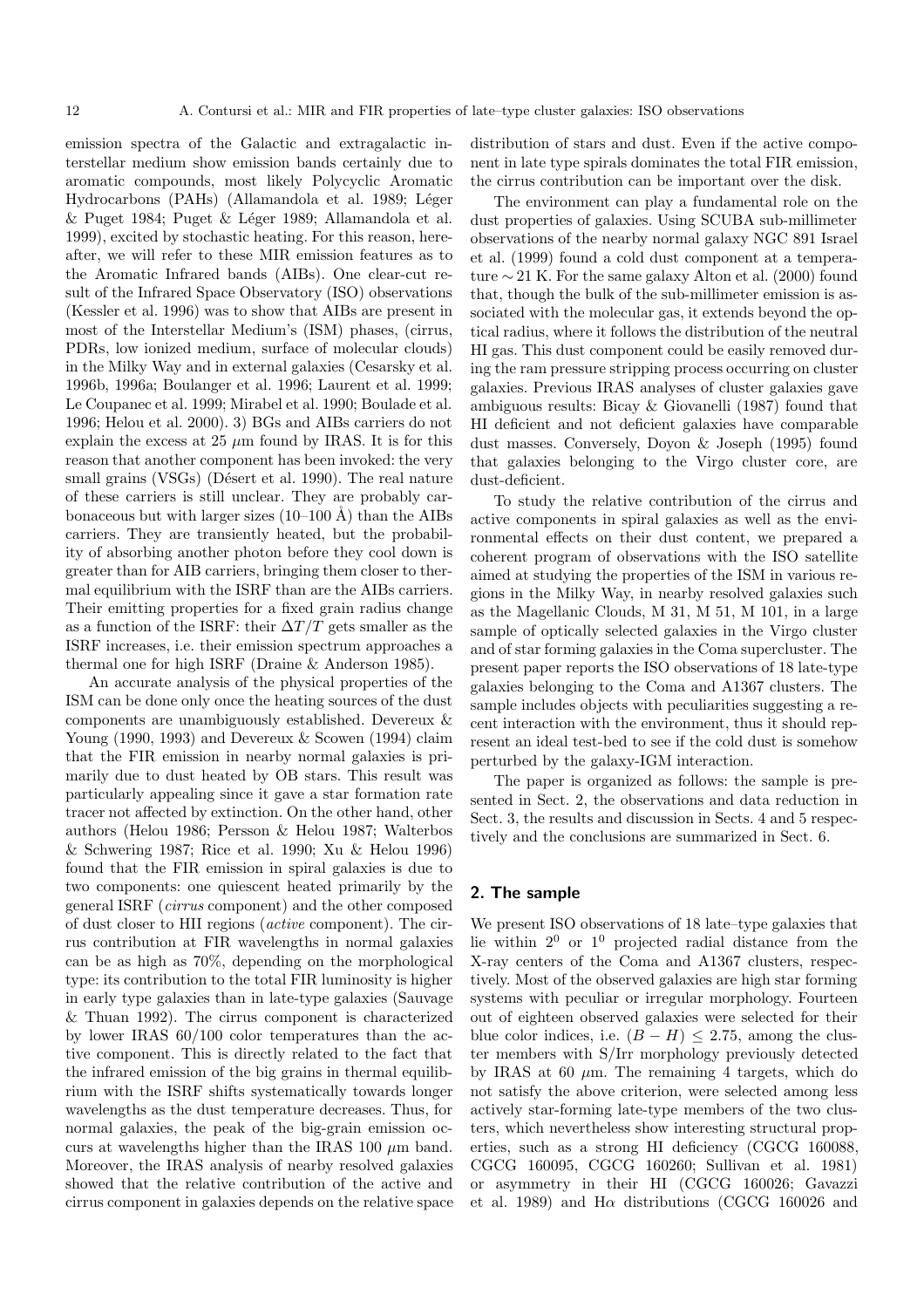emission spectra of the Galactic and extragalactic interstellar medium show emission bands certainly due to aromatic compounds, most likely Polycyclic Aromatic Hydrocarbons (PAHs) (Allamandola et al. 1989; Léger & Puget 1984; Puget & Léger 1989; Allamandola et al. 1999), excited by stochastic heating. For this reason, hereafter, we will refer to these MIR emission features as to the Aromatic Infrared bands (AIBs). One clear-cut result of the Infrared Space Observatory (ISO) observations (Kessler et al. 1996) was to show that AIBs are present in most of the Interstellar Medium's (ISM) phases, (cirrus, PDRs, low ionized medium, surface of molecular clouds) in the Milky Way and in external galaxies (Cesarsky et al. 1996b, 1996a; Boulanger et al. 1996; Laurent et al. 1999; Le Coupanec et al. 1999; Mirabel et al. 1990; Boulade et al. 1996; Helou et al. 2000). 3) BGs and AIBs carriers do not explain the excess at 25  $\mu$ m found by IRAS. It is for this reason that another component has been invoked: the very small grains (VSGs) (Désert et al. 1990). The real nature of these carriers is still unclear. They are probably carbonaceous but with larger sizes  $(10-100 \text{ Å})$  than the AIBs carriers. They are transiently heated, but the probability of absorbing another photon before they cool down is greater than for AIB carriers, bringing them closer to thermal equilibrium with the ISRF than are the AIBs carriers. Their emitting properties for a fixed grain radius change as a function of the ISRF: their  $\Delta T/T$  gets smaller as the ISRF increases, i.e. their emission spectrum approaches a thermal one for high ISRF (Draine & Anderson 1985).

An accurate analysis of the physical properties of the ISM can be done only once the heating sources of the dust components are unambiguously established. Devereux & Young (1990, 1993) and Devereux & Scowen (1994) claim that the FIR emission in nearby normal galaxies is primarily due to dust heated by OB stars. This result was particularly appealing since it gave a star formation rate tracer not affected by extinction. On the other hand, other authors (Helou 1986; Persson & Helou 1987; Walterbos & Schwering 1987; Rice et al. 1990; Xu & Helou 1996) found that the FIR emission in spiral galaxies is due to two components: one quiescent heated primarily by the general ISRF (cirrus component) and the other composed of dust closer to HII regions (active component). The cirrus contribution at FIR wavelengths in normal galaxies can be as high as 70%, depending on the morphological type: its contribution to the total FIR luminosity is higher in early type galaxies than in late-type galaxies (Sauvage & Thuan 1992). The cirrus component is characterized by lower IRAS 60/100 color temperatures than the active component. This is directly related to the fact that the infrared emission of the big grains in thermal equilibrium with the ISRF shifts systematically towards longer wavelengths as the dust temperature decreases. Thus, for normal galaxies, the peak of the big-grain emission occurs at wavelengths higher than the IRAS 100  $\mu$ m band. Moreover, the IRAS analysis of nearby resolved galaxies showed that the relative contribution of the active and cirrus component in galaxies depends on the relative space distribution of stars and dust. Even if the active component in late type spirals dominates the total FIR emission, the cirrus contribution can be important over the disk.

The environment can play a fundamental role on the dust properties of galaxies. Using SCUBA sub-millimeter observations of the nearby normal galaxy NGC 891 Israel et al. (1999) found a cold dust component at a temperature  $\sim$  21 K. For the same galaxy Alton et al. (2000) found that, though the bulk of the sub-millimeter emission is associated with the molecular gas, it extends beyond the optical radius, where it follows the distribution of the neutral HI gas. This dust component could be easily removed during the ram pressure stripping process occurring on cluster galaxies. Previous IRAS analyses of cluster galaxies gave ambiguous results: Bicay & Giovanelli (1987) found that HI deficient and not deficient galaxies have comparable dust masses. Conversely, Doyon & Joseph (1995) found that galaxies belonging to the Virgo cluster core, are dust-deficient.

To study the relative contribution of the cirrus and active components in spiral galaxies as well as the environmental effects on their dust content, we prepared a coherent program of observations with the ISO satellite aimed at studying the properties of the ISM in various regions in the Milky Way, in nearby resolved galaxies such as the Magellanic Clouds, M 31, M 51, M 101, in a large sample of optically selected galaxies in the Virgo cluster and of star forming galaxies in the Coma supercluster. The present paper reports the ISO observations of 18 late-type galaxies belonging to the Coma and A1367 clusters. The sample includes objects with peculiarities suggesting a recent interaction with the environment, thus it should represent an ideal test-bed to see if the cold dust is somehow perturbed by the galaxy-IGM interaction.

The paper is organized as follows: the sample is presented in Sect. 2, the observations and data reduction in Sect. 3, the results and discussion in Sects. 4 and 5 respectively and the conclusions are summarized in Sect. 6.

## **2. The sample**

We present ISO observations of 18 late–type galaxies that lie within  $2^0$  or  $1^0$  projected radial distance from the X-ray centers of the Coma and A1367 clusters, respectively. Most of the observed galaxies are high star forming systems with peculiar or irregular morphology. Fourteen out of eighteen observed galaxies were selected for their blue color indices, i.e.  $(B - H) \leq 2.75$ , among the cluster members with S/Irr morphology previously detected by IRAS at 60  $\mu$ m. The remaining 4 targets, which do not satisfy the above criterion, were selected among less actively star-forming late-type members of the two clusters, which nevertheless show interesting structural properties, such as a strong HI deficiency (CGCG 160088, CGCG 160095, CGCG 160260; Sullivan et al. 1981) or asymmetry in their HI (CGCG 160026; Gavazzi et al. 1989) and H $\alpha$  distributions (CGCG 160026 and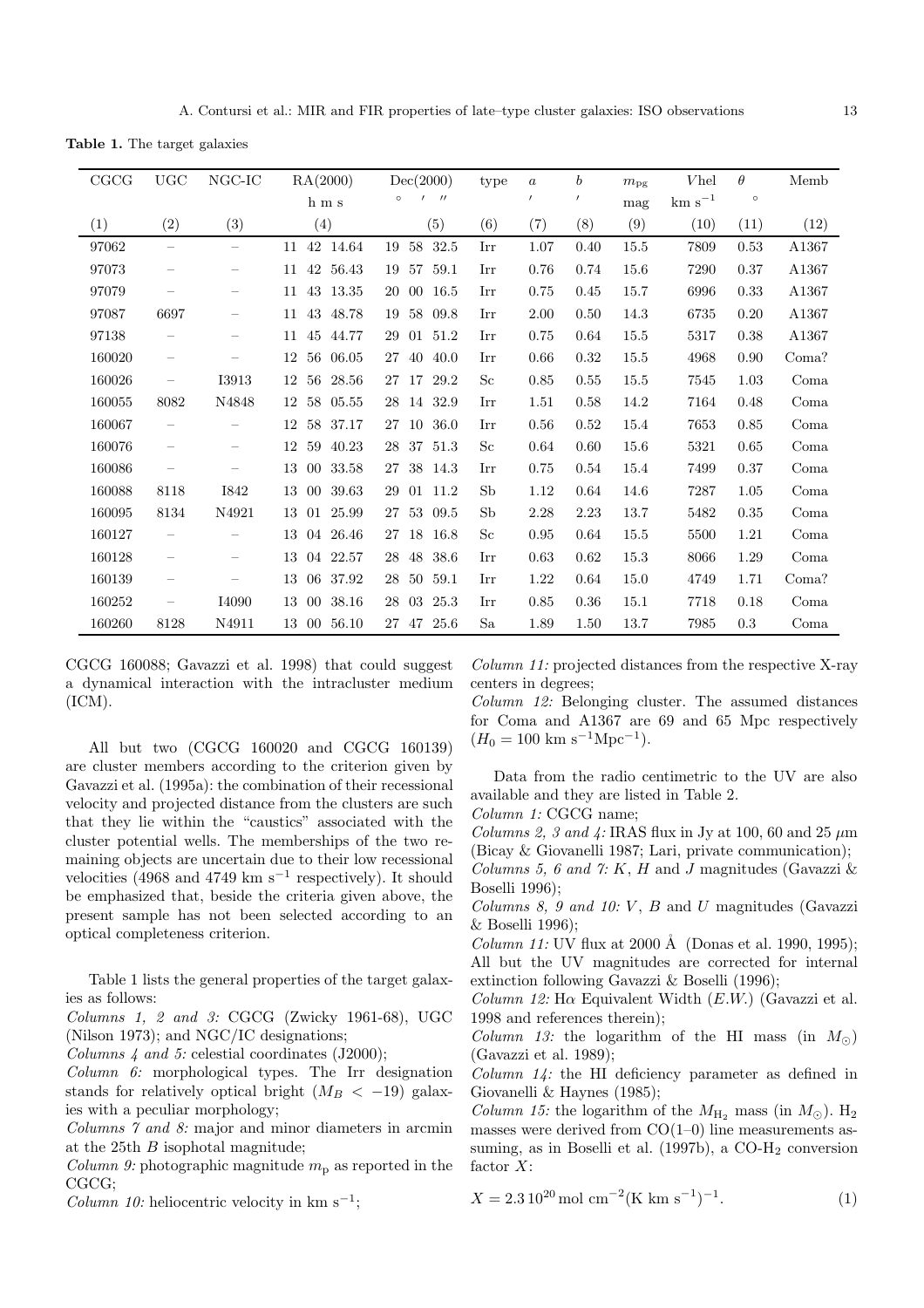**Table 1.** The target galaxies

| CGCG   | $_{\rm UGC}$             | $_{\rm NGC-IC}$          | RA(2000)              | Dec(2000)                    | type        | $\boldsymbol{a}$ | $\boldsymbol{b}$ | $m_{\rm pg}$ | <i>Vhel</i> | $\theta$ | Memb  |
|--------|--------------------------|--------------------------|-----------------------|------------------------------|-------------|------------------|------------------|--------------|-------------|----------|-------|
|        |                          |                          | ${\bf h}$ m s         | $^{\prime\prime}$<br>$\circ$ |             | $\prime$         | $\prime$         | mag          | $km s^{-1}$ | $\circ$  |       |
| (1)    | (2)                      | (3)                      | (4)                   | (5)                          | (6)         | (7)              | (8)              | (9)          | (10)        | (11)     | (12)  |
| 97062  | $\overline{\phantom{m}}$ | $\overline{\phantom{m}}$ | 42 14.64<br>11        | 58<br>32.5<br>19             | Irr         | 1.07             | 0.40             | 15.5         | 7809        | 0.53     | A1367 |
| 97073  |                          |                          | 42<br>56.43<br>11     | 59.1<br>19<br>57             | Irr         | 0.76             | 0.74             | 15.6         | 7290        | 0.37     | A1367 |
| 97079  |                          | $\qquad \qquad$          | 43<br>13.35<br>11     | 16.5<br>$00\,$<br>20         | Irr         | 0.75             | 0.45             | 15.7         | 6996        | 0.33     | A1367 |
| 97087  | 6697                     |                          | 43<br>48.78<br>11     | 58<br>09.8<br>19             | Irr         | 2.00             | 0.50             | 14.3         | 6735        | 0.20     | A1367 |
| 97138  |                          |                          | 45<br>44.77<br>11     | 51.2<br>29<br>01             | Irr         | 0.75             | 0.64             | 15.5         | 5317        | 0.38     | A1367 |
| 160020 | $\qquad \qquad -$        |                          | 12<br>56<br>06.05     | 40.0<br>27<br>40             | Irr         | 0.66             | 0.32             | 15.5         | 4968        | 0.90     | Coma? |
| 160026 | $\overline{\phantom{0}}$ | <b>I3913</b>             | 56<br>28.56<br>12     | 29.2<br>17<br>27             | Sc          | 0.85             | 0.55             | 15.5         | 7545        | 1.03     | Coma  |
| 160055 | 8082                     | N4848                    | 05.55<br>12<br>58     | 32.9<br>28<br>14             | Irr         | 1.51             | 0.58             | 14.2         | 7164        | 0.48     | Coma  |
| 160067 |                          |                          | 58<br>37.17<br>12     | 36.0<br>27<br>10             | Irr         | 0.56             | 0.52             | 15.4         | 7653        | 0.85     | Coma  |
| 160076 | $\overline{\phantom{0}}$ |                          | 12<br>59<br>40.23     | 51.3<br>37<br>28             | $_{\rm Sc}$ | 0.64             | 0.60             | 15.6         | 5321        | 0.65     | Coma  |
| 160086 |                          |                          | 33.58<br>13<br>$00\,$ | 38<br>14.3<br>27             | Irr         | 0.75             | 0.54             | 15.4         | 7499        | 0.37     | Coma  |
| 160088 | 8118                     | <b>I842</b>              | 39.63<br>13<br>$00\,$ | 11.2<br>29<br>01             | Sb          | 1.12             | 0.64             | 14.6         | 7287        | 1.05     | Coma  |
| 160095 | 8134                     | N4921                    | 13<br>25.99<br>01     | 53<br>09.5<br>27             | Sb          | 2.28             | 2.23             | 13.7         | 5482        | 0.35     | Coma  |
| 160127 | $\overline{\phantom{0}}$ |                          | 13<br>26.46<br>04     | 16.8<br>18<br>27             | Sc          | 0.95             | 0.64             | 15.5         | 5500        | 1.21     | Coma  |
| 160128 | $\overline{\phantom{0}}$ |                          | 22.57<br>13<br>04     | 38.6<br>48<br>28             | Irr         | 0.63             | 0.62             | 15.3         | 8066        | 1.29     | Coma  |
| 160139 | $\overline{\phantom{0}}$ |                          | 37.92<br>13<br>06     | 59.1<br>28<br>50             | Irr         | 1.22             | 0.64             | 15.0         | 4749        | 1.71     | Coma? |
| 160252 |                          | I4090                    | 13<br>38.16<br>$00\,$ | 03<br>25.3<br>28             | Irr         | 0.85             | 0.36             | 15.1         | 7718        | 0.18     | Coma  |
| 160260 | 8128                     | N4911                    | 13 00<br>56.10        | 25.6<br>27 47                | Sa          | 1.89             | 1.50             | 13.7         | 7985        | 0.3      | Coma  |

CGCG 160088; Gavazzi et al. 1998) that could suggest a dynamical interaction with the intracluster medium (ICM).

All but two (CGCG 160020 and CGCG 160139) are cluster members according to the criterion given by Gavazzi et al. (1995a): the combination of their recessional velocity and projected distance from the clusters are such that they lie within the "caustics" associated with the cluster potential wells. The memberships of the two remaining objects are uncertain due to their low recessional velocities (4968 and 4749 km s<sup>-1</sup> respectively). It should be emphasized that, beside the criteria given above, the present sample has not been selected according to an optical completeness criterion.

Table 1 lists the general properties of the target galaxies as follows:

Columns 1, 2 and 3: CGCG (Zwicky 1961-68), UGC (Nilson 1973); and NGC/IC designations;

Columns 4 and 5: celestial coordinates (J2000);

Column 6: morphological types. The Irr designation stands for relatively optical bright  $(M_B < -19)$  galaxies with a peculiar morphology;

Columns 7 and 8: major and minor diameters in arcmin at the 25th B isophotal magnitude;

Column 9: photographic magnitude  $m_p$  as reported in the CGCG;

Column 10: heliocentric velocity in km s<sup>-1</sup>;

Column 11: projected distances from the respective X-ray centers in degrees;

Column 12: Belonging cluster. The assumed distances for Coma and A1367 are 69 and 65 Mpc respectively  $(H_0 = 100 \text{ km s}^{-1} \text{Mpc}^{-1}).$ 

Data from the radio centimetric to the UV are also available and they are listed in Table 2.

Column 1: CGCG name;

Columns 2, 3 and 4: IRAS flux in Jy at 100, 60 and 25  $\mu$ m (Bicay & Giovanelli 1987; Lari, private communication); Columns 5, 6 and 7: K, H and J magnitudes (Gavazzi  $\&$ 

Boselli 1996);

Columns 8, 9 and 10:  $V$ ,  $B$  and  $U$  magnitudes (Gavazzi & Boselli 1996);

*Column 11:* UV flux at 2000 Å (Donas et al. 1990, 1995); All but the UV magnitudes are corrected for internal extinction following Gavazzi & Boselli (1996);

Column 12: H $\alpha$  Equivalent Width (E.W.) (Gavazzi et al. 1998 and references therein);

*Column 13:* the logarithm of the HI mass (in  $M_{\odot}$ ) (Gavazzi et al. 1989);

 $Column 14$ : the HI deficiency parameter as defined in Giovanelli & Haynes (1985);

*Column 15:* the logarithm of the  $M_{\rm H_2}$  mass (in  $M_{\odot}$ ). H<sub>2</sub> masses were derived from  $CO(1-0)$  line measurements assuming, as in Boselli et al. (1997b), a CO-H<sub>2</sub> conversion factor  $X$ :

$$
X = 2.3 \, 10^{20} \, \text{mol cm}^{-2} \, (\text{K km s}^{-1})^{-1}.
$$
 (1)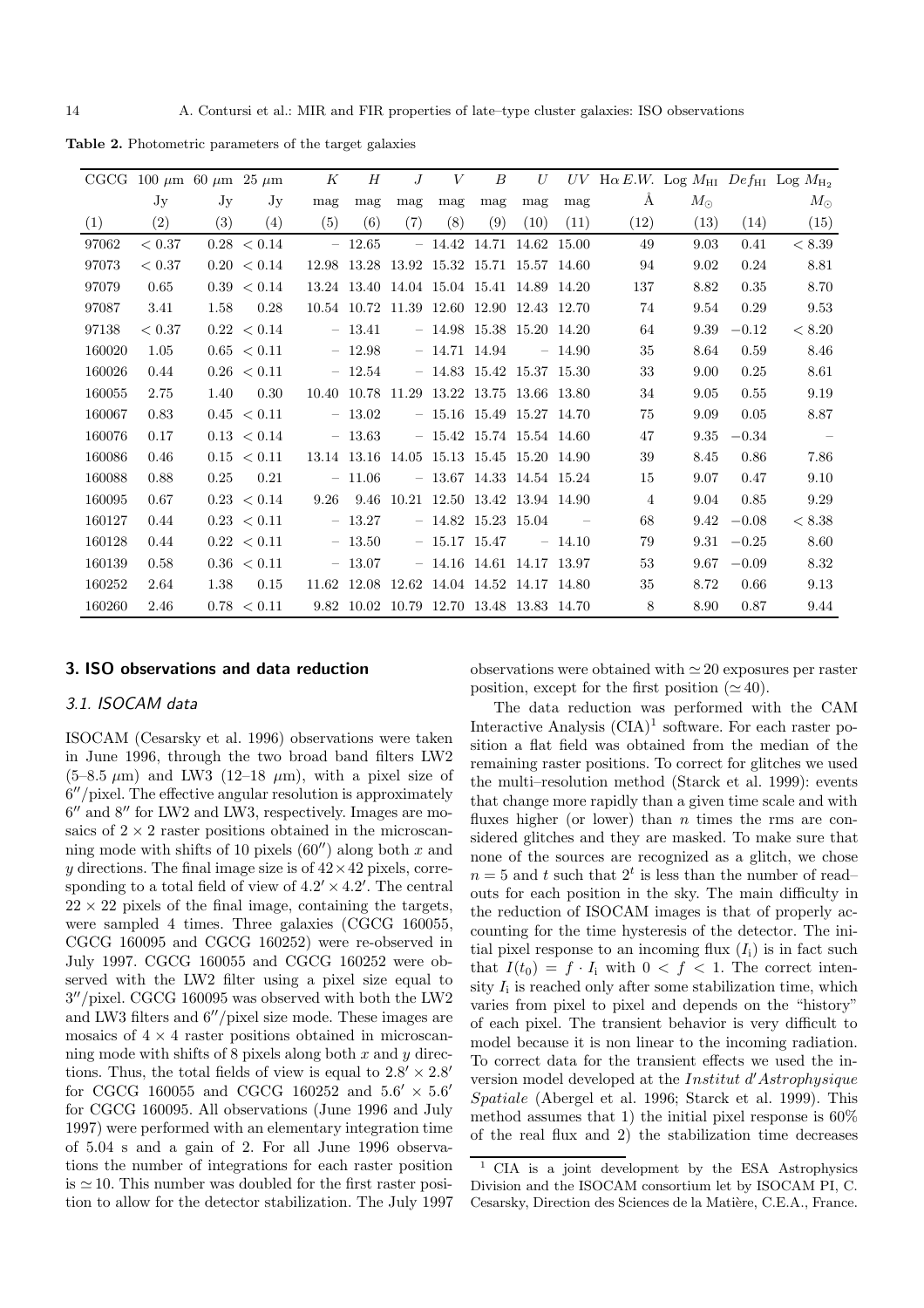**Table 2.** Photometric parameters of the target galaxies

|        | CGCG 100 $\mu$ m 60 $\mu$ m 25 $\mu$ m |      |                 | K    | H        | J   | V              | $\boldsymbol{B}$                          | $U_{-}$           |          |                |             |         | UV H $\alpha$ E.W. Log M <sub>HI</sub> Def <sub>HI</sub> Log M <sub>H<sub>2</sub></sub> |
|--------|----------------------------------------|------|-----------------|------|----------|-----|----------------|-------------------------------------------|-------------------|----------|----------------|-------------|---------|-----------------------------------------------------------------------------------------|
|        | Jy                                     | Jy   | Jy              | mag  | mag      | mag | mag            | mag                                       | mag               | mag      | Å              | $M_{\odot}$ |         | $M_{\odot}$                                                                             |
| (1)    | (2)                                    | (3)  | (4)             | (5)  | (6)      | (7) | (8)            | (9)                                       | (10)              | (11)     | (12)           | (13)        | (14)    | (15)                                                                                    |
| 97062  | < 0.37                                 |      | 0.28 < 0.14     |      | $-12.65$ |     | $-14.42$       |                                           | 14.71 14.62 15.00 |          | 49             | 9.03        | 0.41    | < 8.39                                                                                  |
| 97073  | ${}< 0.37$                             |      | $0.20 \le 0.14$ |      |          |     |                | 12.98 13.28 13.92 15.32 15.71 15.57 14.60 |                   |          | 94             | 9.02        | 0.24    | 8.81                                                                                    |
| 97079  | 0.65                                   |      | 0.39 < 0.14     |      |          |     |                | 13.24 13.40 14.04 15.04 15.41 14.89 14.20 |                   |          | 137            | 8.82        | 0.35    | 8.70                                                                                    |
| 97087  | 3.41                                   | 1.58 | 0.28            |      |          |     |                | 10.54 10.72 11.39 12.60 12.90 12.43 12.70 |                   |          | 74             | 9.54        | 0.29    | 9.53                                                                                    |
| 97138  | ${}< 0.37$                             |      | $0.22 \le 0.14$ |      | $-13.41$ |     |                | $- 14.98$ 15.38 15.20 14.20               |                   |          | 64             | 9.39        | $-0.12$ | < 8.20                                                                                  |
| 160020 | 1.05                                   |      | 0.65 < 0.11     |      | $-12.98$ |     |                | $-14.71$ 14.94                            |                   | $-14.90$ | 35             | 8.64        | 0.59    | 8.46                                                                                    |
| 160026 | 0.44                                   |      | 0.26 < 0.11     |      | $-12.54$ |     |                | $-14.83$ 15.42 15.37 15.30                |                   |          | 33             | 9.00        | 0.25    | 8.61                                                                                    |
| 160055 | 2.75                                   | 1.40 | 0.30            |      |          |     |                | 10.40 10.78 11.29 13.22 13.75 13.66 13.80 |                   |          | 34             | 9.05        | 0.55    | 9.19                                                                                    |
| 160067 | 0.83                                   |      | 0.45 < 0.11     |      | $-13.02$ |     |                | $-15.16$ 15.49 15.27 14.70                |                   |          | 75             | 9.09        | 0.05    | 8.87                                                                                    |
| 160076 | 0.17                                   |      | $0.13 \le 0.14$ |      | $-13.63$ |     |                | $-15.42$ 15.74 15.54 14.60                |                   |          | 47             | 9.35        | $-0.34$ | $\sim$ $-$                                                                              |
| 160086 | 0.46                                   |      | 0.15 < 0.11     |      |          |     |                | 13.14 13.16 14.05 15.13 15.45 15.20 14.90 |                   |          | 39             | 8.45        | 0.86    | 7.86                                                                                    |
| 160088 | 0.88                                   | 0.25 | 0.21            |      | $-11.06$ |     |                | $-13.67$ 14.33 14.54 15.24                |                   |          | 15             | 9.07        | 0.47    | 9.10                                                                                    |
| 160095 | 0.67                                   |      | $0.23 \le 0.14$ | 9.26 |          |     |                | 9.46 10.21 12.50 13.42 13.94 14.90        |                   |          | $\overline{4}$ | 9.04        | 0.85    | 9.29                                                                                    |
| 160127 | 0.44                                   |      | 0.23 < 0.11     |      | $-13.27$ |     |                | $-14.82$ 15.23 15.04                      |                   |          | 68             | 9.42        | $-0.08$ | < 8.38                                                                                  |
| 160128 | 0.44                                   |      | 0.22 < 0.11     |      | $-13.50$ |     | $-15.17$ 15.47 |                                           |                   | $-14.10$ | 79             | 9.31        | $-0.25$ | 8.60                                                                                    |
| 160139 | 0.58                                   |      | 0.36 < 0.11     |      | $-13.07$ |     |                | $-14.16$ 14.61 14.17 13.97                |                   |          | 53             | 9.67        | $-0.09$ | 8.32                                                                                    |
| 160252 | 2.64                                   | 1.38 | 0.15            |      |          |     |                | 11.62 12.08 12.62 14.04 14.52 14.17 14.80 |                   |          | 35             | 8.72        | 0.66    | 9.13                                                                                    |
| 160260 | 2.46                                   |      | 0.78 < 0.11     |      |          |     |                | 9.82 10.02 10.79 12.70 13.48 13.83 14.70  |                   |          | 8              | 8.90        | 0.87    | 9.44                                                                                    |

#### **3. ISO observations and data reduction**

## 3.1. ISOCAM data

ISOCAM (Cesarsky et al. 1996) observations were taken in June 1996, through the two broad band filters LW2  $(5-8.5 \mu m)$  and LW3 (12–18  $\mu$ m), with a pixel size of  $6''/pixel$ . The effective angular resolution is approximately  $6''$  and  $8''$  for LW2 and LW3, respectively. Images are mosaics of  $2 \times 2$  raster positions obtained in the microscanning mode with shifts of 10 pixels  $(60'')$  along both x and y directions. The final image size is of  $42 \times 42$  pixels, corresponding to a total field of view of  $4.2' \times 4.2'$ . The central  $22 \times 22$  pixels of the final image, containing the targets, were sampled 4 times. Three galaxies (CGCG 160055, CGCG 160095 and CGCG 160252) were re-observed in July 1997. CGCG 160055 and CGCG 160252 were observed with the LW2 filter using a pixel size equal to  $3''/\text{pixel}$ . CGCG 160095 was observed with both the LW2 and LW3 filters and  $6''/pixel$  size mode. These images are mosaics of  $4 \times 4$  raster positions obtained in microscanning mode with shifts of 8 pixels along both  $x$  and  $y$  directions. Thus, the total fields of view is equal to  $2.8' \times 2.8'$ for CGCG 160055 and CGCG 160252 and  $5.6' \times 5.6'$ for CGCG 160095. All observations (June 1996 and July 1997) were performed with an elementary integration time of 5.04 s and a gain of 2. For all June 1996 observations the number of integrations for each raster position is  $\simeq$  10. This number was doubled for the first raster position to allow for the detector stabilization. The July 1997

observations were obtained with  $\simeq 20$  exposures per raster position, except for the first position  $(\simeq 40)$ .

The data reduction was performed with the CAM Interactive Analysis  $(CIA)^1$  software. For each raster position a flat field was obtained from the median of the remaining raster positions. To correct for glitches we used the multi–resolution method (Starck et al. 1999): events that change more rapidly than a given time scale and with fluxes higher (or lower) than  $n$  times the rms are considered glitches and they are masked. To make sure that none of the sources are recognized as a glitch, we chose  $n = 5$  and t such that  $2<sup>t</sup>$  is less than the number of readouts for each position in the sky. The main difficulty in the reduction of ISOCAM images is that of properly accounting for the time hysteresis of the detector. The initial pixel response to an incoming flux  $(I_i)$  is in fact such that  $I(t_0) = f \cdot I_i$  with  $0 < f < 1$ . The correct intensity  $I_i$  is reached only after some stabilization time, which varies from pixel to pixel and depends on the "history" of each pixel. The transient behavior is very difficult to model because it is non linear to the incoming radiation. To correct data for the transient effects we used the inversion model developed at the  $Institut\ d'Astrophysique$ Spatiale (Abergel et al. 1996; Starck et al. 1999). This method assumes that 1) the initial pixel response is  $60\%$ of the real flux and 2) the stabilization time decreases

<sup>1</sup> CIA is a joint development by the ESA Astrophysics Division and the ISOCAM consortium let by ISOCAM PI, C. Cesarsky, Direction des Sciences de la Matière, C.E.A., France.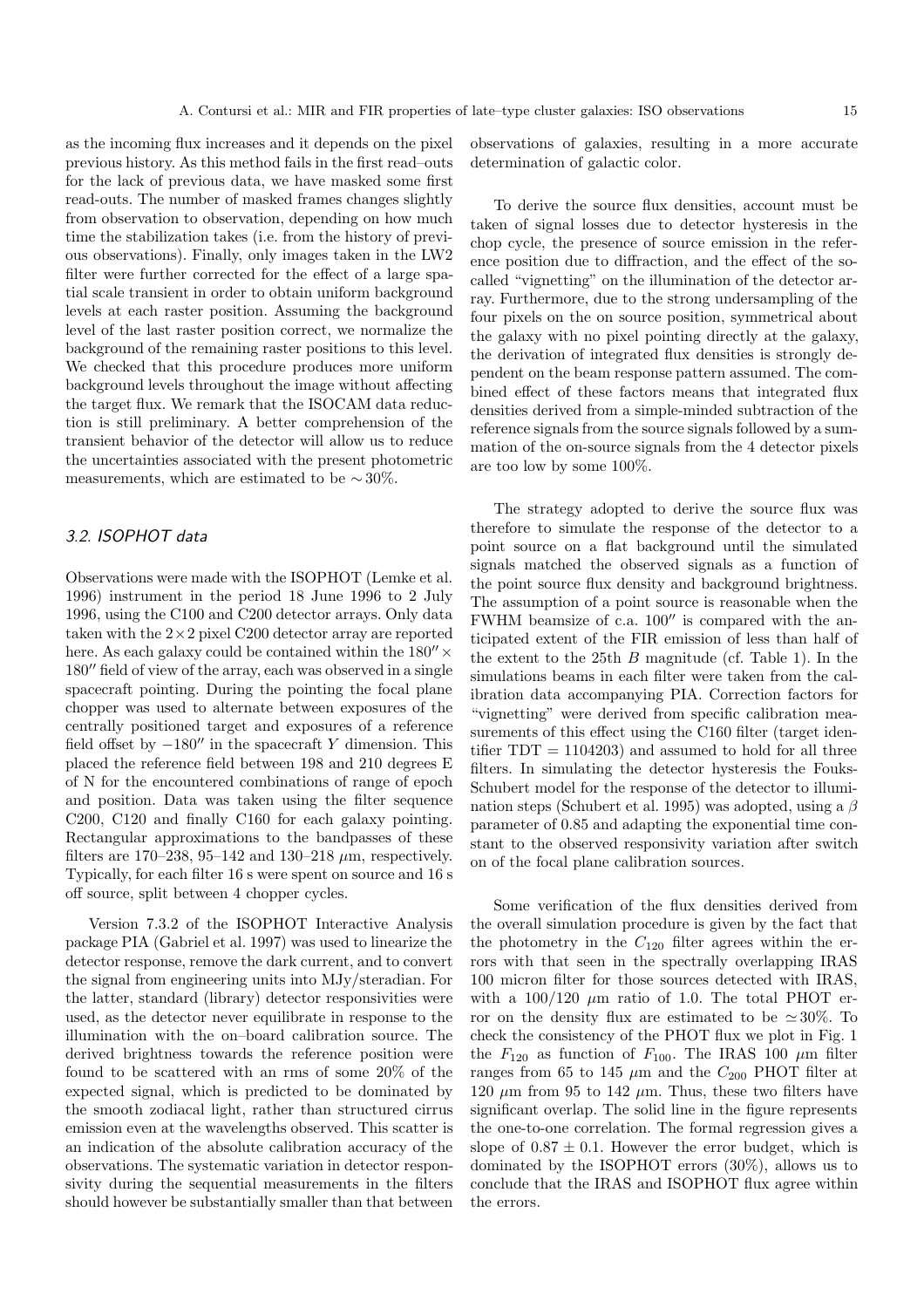as the incoming flux increases and it depends on the pixel previous history. As this method fails in the first read–outs for the lack of previous data, we have masked some first read-outs. The number of masked frames changes slightly from observation to observation, depending on how much time the stabilization takes (i.e. from the history of previous observations). Finally, only images taken in the LW2 filter were further corrected for the effect of a large spatial scale transient in order to obtain uniform background levels at each raster position. Assuming the background level of the last raster position correct, we normalize the background of the remaining raster positions to this level. We checked that this procedure produces more uniform background levels throughout the image without affecting the target flux. We remark that the ISOCAM data reduction is still preliminary. A better comprehension of the transient behavior of the detector will allow us to reduce the uncertainties associated with the present photometric measurements, which are estimated to be  $\sim$  30%.

## 3.2. ISOPHOT data

Observations were made with the ISOPHOT (Lemke et al. 1996) instrument in the period 18 June 1996 to 2 July 1996, using the C100 and C200 detector arrays. Only data taken with the  $2\times 2$  pixel C200 detector array are reported here. As each galaxy could be contained within the  $180'' \times$  $180''$  field of view of the array, each was observed in a single spacecraft pointing. During the pointing the focal plane chopper was used to alternate between exposures of the centrally positioned target and exposures of a reference field offset by  $-180''$  in the spacecraft Y dimension. This placed the reference field between 198 and 210 degrees E of N for the encountered combinations of range of epoch and position. Data was taken using the filter sequence C200, C120 and finally C160 for each galaxy pointing. Rectangular approximations to the bandpasses of these filters are 170–238, 95–142 and 130–218  $\mu$ m, respectively. Typically, for each filter 16 s were spent on source and 16 s off source, split between 4 chopper cycles.

Version 7.3.2 of the ISOPHOT Interactive Analysis package PIA (Gabriel et al. 1997) was used to linearize the detector response, remove the dark current, and to convert the signal from engineering units into MJy/steradian. For the latter, standard (library) detector responsivities were used, as the detector never equilibrate in response to the illumination with the on–board calibration source. The derived brightness towards the reference position were found to be scattered with an rms of some 20% of the expected signal, which is predicted to be dominated by the smooth zodiacal light, rather than structured cirrus emission even at the wavelengths observed. This scatter is an indication of the absolute calibration accuracy of the observations. The systematic variation in detector responsivity during the sequential measurements in the filters should however be substantially smaller than that between

observations of galaxies, resulting in a more accurate determination of galactic color.

To derive the source flux densities, account must be taken of signal losses due to detector hysteresis in the chop cycle, the presence of source emission in the reference position due to diffraction, and the effect of the socalled "vignetting" on the illumination of the detector array. Furthermore, due to the strong undersampling of the four pixels on the on source position, symmetrical about the galaxy with no pixel pointing directly at the galaxy, the derivation of integrated flux densities is strongly dependent on the beam response pattern assumed. The combined effect of these factors means that integrated flux densities derived from a simple-minded subtraction of the reference signals from the source signals followed by a summation of the on-source signals from the 4 detector pixels are too low by some 100%.

The strategy adopted to derive the source flux was therefore to simulate the response of the detector to a point source on a flat background until the simulated signals matched the observed signals as a function of the point source flux density and background brightness. The assumption of a point source is reasonable when the FWHM beamsize of c.a.  $100''$  is compared with the anticipated extent of the FIR emission of less than half of the extent to the 25th  $B$  magnitude (cf. Table 1). In the simulations beams in each filter were taken from the calibration data accompanying PIA. Correction factors for "vignetting" were derived from specific calibration measurements of this effect using the C160 filter (target identifier  $TDT = 1104203$  and assumed to hold for all three filters. In simulating the detector hysteresis the Fouks-Schubert model for the response of the detector to illumination steps (Schubert et al. 1995) was adopted, using a  $\beta$ parameter of 0.85 and adapting the exponential time constant to the observed responsivity variation after switch on of the focal plane calibration sources.

Some verification of the flux densities derived from the overall simulation procedure is given by the fact that the photometry in the  $C_{120}$  filter agrees within the errors with that seen in the spectrally overlapping IRAS 100 micron filter for those sources detected with IRAS, with a  $100/120 \mu m$  ratio of 1.0. The total PHOT error on the density flux are estimated to be  $\simeq 30\%$ . To check the consistency of the PHOT flux we plot in Fig. 1 the  $F_{120}$  as function of  $F_{100}$ . The IRAS 100  $\mu$ m filter ranges from 65 to 145  $\mu$ m and the  $C_{200}$  PHOT filter at 120  $\mu$ m from 95 to 142  $\mu$ m. Thus, these two filters have significant overlap. The solid line in the figure represents the one-to-one correlation. The formal regression gives a slope of  $0.87 \pm 0.1$ . However the error budget, which is dominated by the ISOPHOT errors (30%), allows us to conclude that the IRAS and ISOPHOT flux agree within the errors.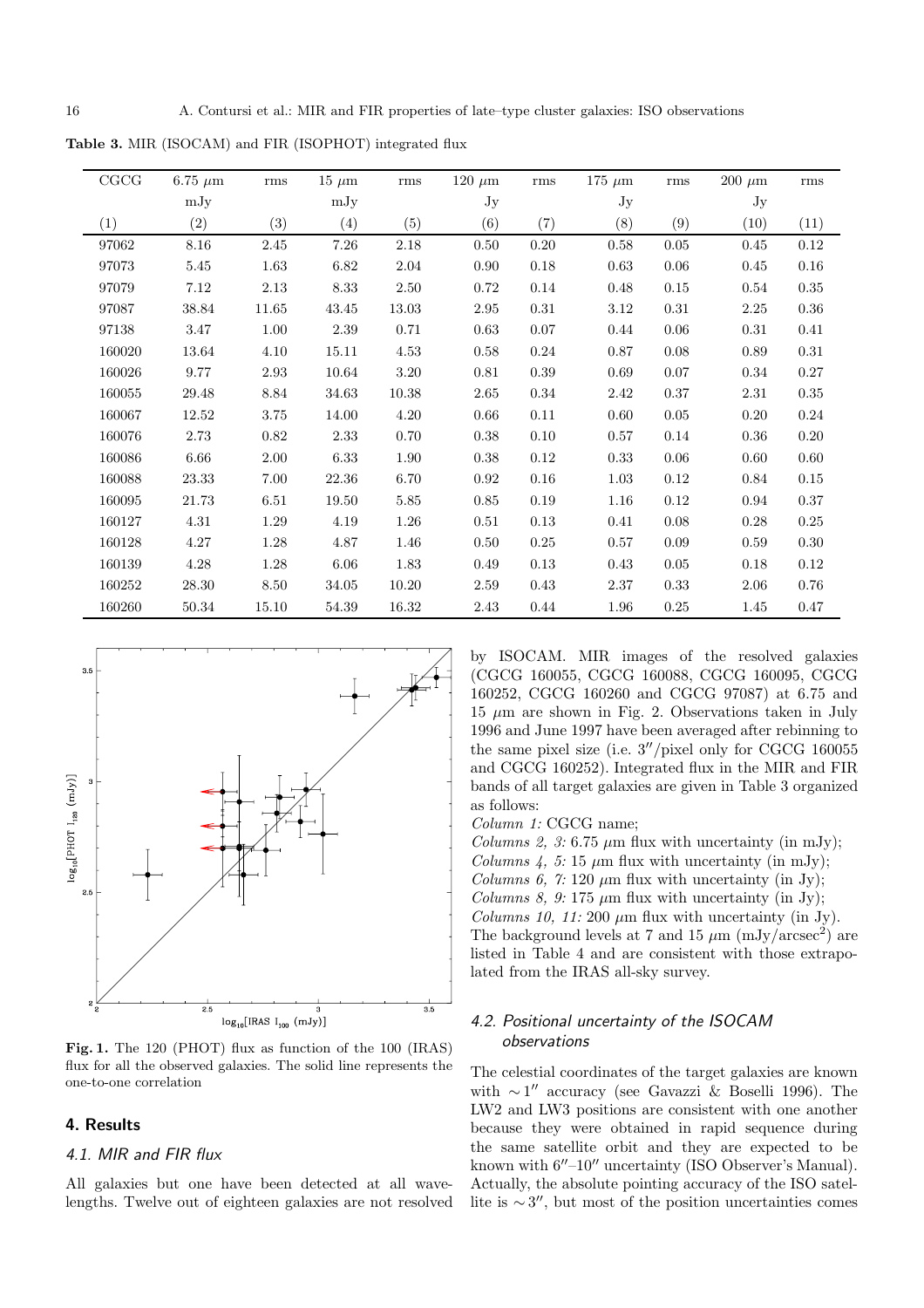**Table 3.** MIR (ISOCAM) and FIR (ISOPHOT) integrated flux

| CGCG   | 6.75 $\mu$ m | rms      | $15 \mu m$ | rms       | $120~\mu{\rm m}$ | rms  | $175~\mu{\rm m}$ | rms  | $200~\mu{\rm m}$ | rms      |
|--------|--------------|----------|------------|-----------|------------------|------|------------------|------|------------------|----------|
|        | mJy          |          | mJy        |           | Jy               |      | Jy               |      | Jy               |          |
| (1)    | (2)          | (3)      | (4)        | (5)       | (6)              | (7)  | (8)              | (9)  | (10)             | (11)     |
| 97062  | 8.16         | 2.45     | $7.26\,$   | 2.18      | 0.50             | 0.20 | 0.58             | 0.05 | 0.45             | 0.12     |
| 97073  | 5.45         | 1.63     | 6.82       | 2.04      | 0.90             | 0.18 | 0.63             | 0.06 | 0.45             | 0.16     |
| 97079  | 7.12         | 2.13     | $8.33\,$   | 2.50      | 0.72             | 0.14 | 0.48             | 0.15 | 0.54             | 0.35     |
| 97087  | 38.84        | 11.65    | 43.45      | 13.03     | 2.95             | 0.31 | 3.12             | 0.31 | $2.25\,$         | 0.36     |
| 97138  | 3.47         | 1.00     | 2.39       | 0.71      | 0.63             | 0.07 | 0.44             | 0.06 | 0.31             | 0.41     |
| 160020 | 13.64        | 4.10     | 15.11      | 4.53      | 0.58             | 0.24 | 0.87             | 0.08 | 0.89             | 0.31     |
| 160026 | 9.77         | 2.93     | 10.64      | $3.20\,$  | 0.81             | 0.39 | 0.69             | 0.07 | 0.34             | 0.27     |
| 160055 | 29.48        | $8.84\,$ | 34.63      | 10.38     | 2.65             | 0.34 | 2.42             | 0.37 | 2.31             | 0.35     |
| 160067 | 12.52        | 3.75     | 14.00      | 4.20      | 0.66             | 0.11 | 0.60             | 0.05 | 0.20             | 0.24     |
| 160076 | 2.73         | 0.82     | 2.33       | 0.70      | 0.38             | 0.10 | 0.57             | 0.14 | 0.36             | 0.20     |
| 160086 | 6.66         | 2.00     | 6.33       | 1.90      | 0.38             | 0.12 | 0.33             | 0.06 | 0.60             | 0.60     |
| 160088 | 23.33        | 7.00     | 22.36      | 6.70      | 0.92             | 0.16 | 1.03             | 0.12 | 0.84             | 0.15     |
| 160095 | 21.73        | 6.51     | 19.50      | 5.85      | 0.85             | 0.19 | 1.16             | 0.12 | 0.94             | 0.37     |
| 160127 | 4.31         | 1.29     | 4.19       | 1.26      | 0.51             | 0.13 | 0.41             | 0.08 | 0.28             | 0.25     |
| 160128 | 4.27         | 1.28     | 4.87       | 1.46      | 0.50             | 0.25 | 0.57             | 0.09 | 0.59             | 0.30     |
| 160139 | 4.28         | 1.28     | 6.06       | 1.83      | 0.49             | 0.13 | 0.43             | 0.05 | 0.18             | 0.12     |
| 160252 | $28.30\,$    | 8.50     | $34.05\,$  | $10.20\,$ | $2.59\,$         | 0.43 | 2.37             | 0.33 | 2.06             | $0.76\,$ |
| 160260 | 50.34        | 15.10    | 54.39      | 16.32     | 2.43             | 0.44 | 1.96             | 0.25 | 1.45             | 0.47     |



**Fig. 1.** The 120 (PHOT) flux as function of the 100 (IRAS) flux for all the observed galaxies. The solid line represents the one-to-one correlation

## **4. Results**

#### 4.1. MIR and FIR flux

All galaxies but one have been detected at all wavelengths. Twelve out of eighteen galaxies are not resolved by ISOCAM. MIR images of the resolved galaxies (CGCG 160055, CGCG 160088, CGCG 160095, CGCG 160252, CGCG 160260 and CGCG 97087) at 6.75 and  $15 \mu m$  are shown in Fig. 2. Observations taken in July 1996 and June 1997 have been averaged after rebinning to the same pixel size (i.e.  $3''/$ pixel only for CGCG 160055 and CGCG 160252). Integrated flux in the MIR and FIR bands of all target galaxies are given in Table 3 organized as follows:

Column 1: CGCG name;

Columns 2, 3: 6.75  $\mu$ m flux with uncertainty (in mJy); Columns  $4$ , 5: 15  $\mu$ m flux with uncertainty (in mJy); Columns 6, 7: 120  $\mu$ m flux with uncertainty (in Jy); Columns 8, 9: 175  $\mu$ m flux with uncertainty (in Jy); Columns 10, 11: 200  $\mu$ m flux with uncertainty (in Jy). The background levels at 7 and 15  $\mu$ m (mJy/arcsec<sup>2</sup>) are listed in Table 4 and are consistent with those extrapolated from the IRAS all-sky survey.

# 4.2. Positional uncertainty of the ISOCAM observations

The celestial coordinates of the target galaxies are known with  $\sim$  1" accuracy (see Gavazzi & Boselli 1996). The LW2 and LW3 positions are consistent with one another because they were obtained in rapid sequence during the same satellite orbit and they are expected to be known with  $6''-10''$  uncertainty (ISO Observer's Manual). Actually, the absolute pointing accuracy of the ISO satellite is  $\sim$  3'', but most of the position uncertainties comes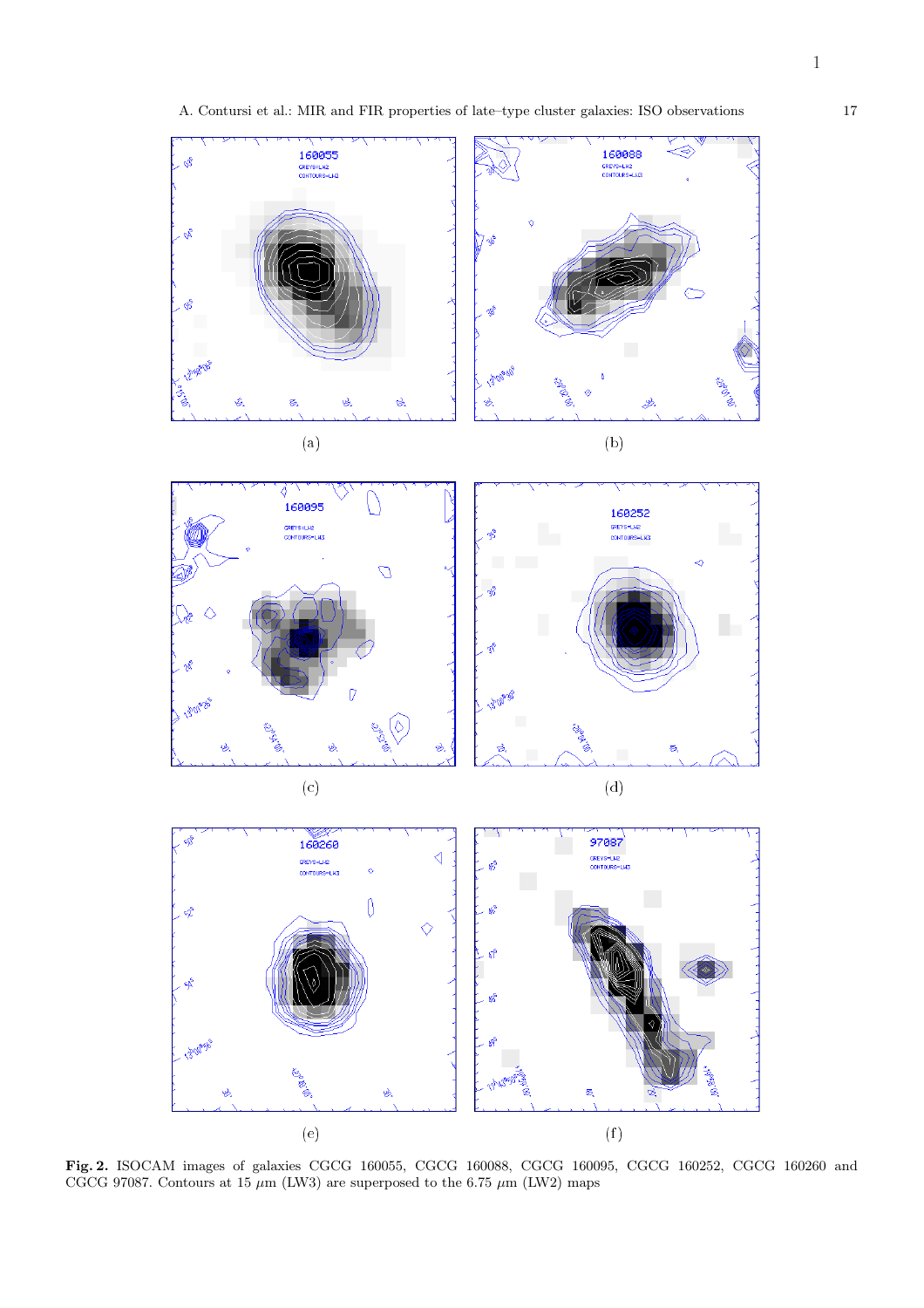



 $\mathcal{C}$  (d) and (d) and (d) and (d) and (d) and (d) and (d) and (d) and (d) and (d) and (d) and (d) and (d) and (d) and (d) and (d) and (d) and (d) and (d) and (d) and (d) and (d) and (d) and (d) and (d) and (d) and (d)



**Fig. 2.** ISOCAM images of galaxies CGCG 160055, CGCG 160088, CGCG 160095, CGCG 160252, CGCG 160260 and CGCG 97087. Contours at 15  $\mu$ m (LW3) are superposed to the 6.75  $\mu$ m (LW2) maps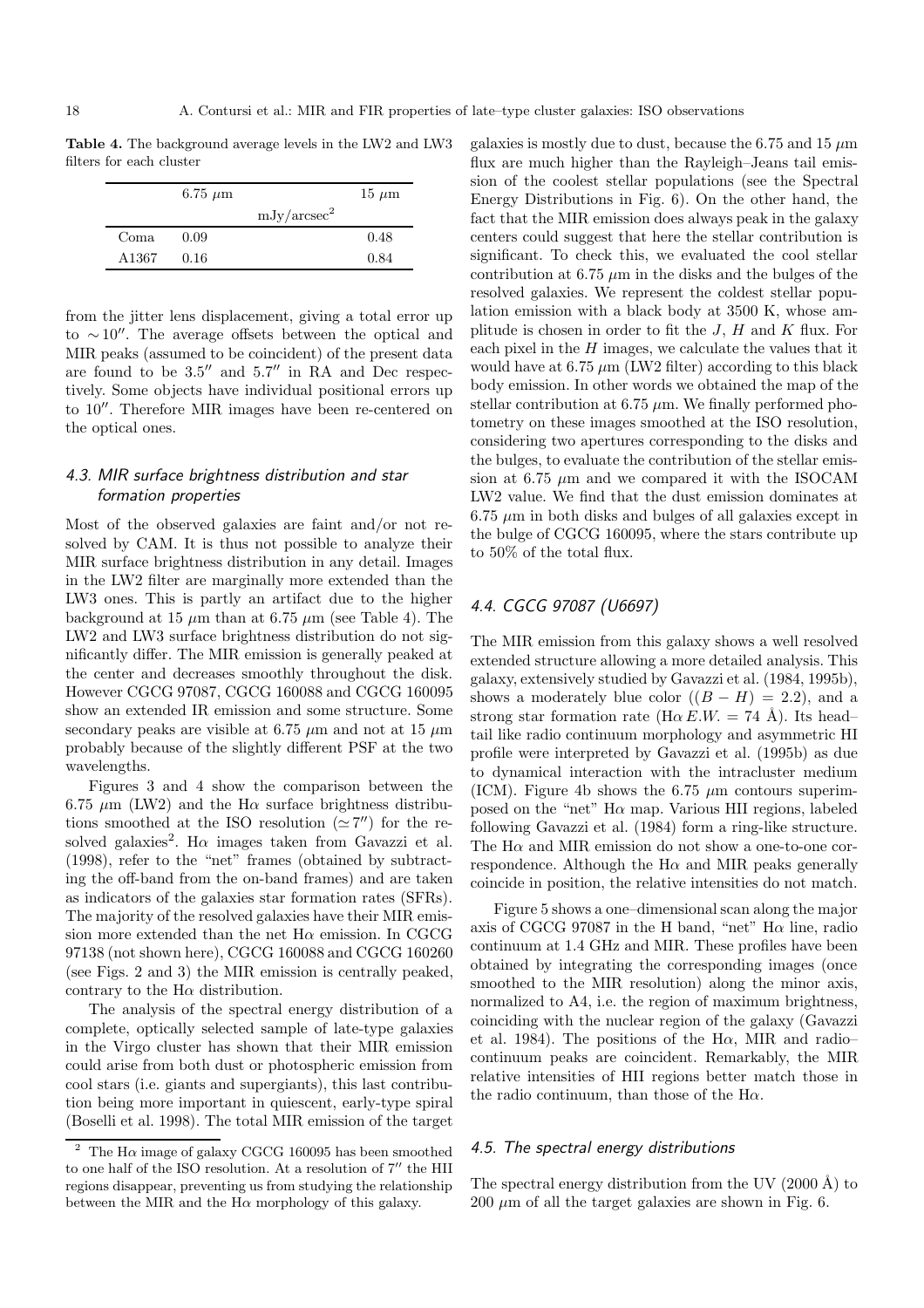**Table 4.** The background average levels in the LW2 and LW3 filters for each cluster

|                   | $6.75 \mu m$ |                         | $15 \mu m$ |
|-------------------|--------------|-------------------------|------------|
|                   |              | mJy/arcsec <sup>2</sup> |            |
| Coma              | 0.09         |                         | 0.48       |
| A <sub>1367</sub> | 0.16         |                         | 0.84       |

from the jitter lens displacement, giving a total error up to  $\sim 10''$ . The average offsets between the optical and MIR peaks (assumed to be coincident) of the present data are found to be  $3.5''$  and  $5.7''$  in RA and Dec respectively. Some objects have individual positional errors up to  $10^{\prime\prime}$ . Therefore MIR images have been re-centered on the optical ones.

## 4.3. MIR surface brightness distribution and star formation properties

Most of the observed galaxies are faint and/or not resolved by CAM. It is thus not possible to analyze their MIR surface brightness distribution in any detail. Images in the LW2 filter are marginally more extended than the LW3 ones. This is partly an artifact due to the higher background at 15  $\mu$ m than at 6.75  $\mu$ m (see Table 4). The LW2 and LW3 surface brightness distribution do not significantly differ. The MIR emission is generally peaked at the center and decreases smoothly throughout the disk. However CGCG 97087, CGCG 160088 and CGCG 160095 show an extended IR emission and some structure. Some secondary peaks are visible at 6.75  $\mu$ m and not at 15  $\mu$ m probably because of the slightly different PSF at the two wavelengths.

Figures 3 and 4 show the comparison between the 6.75  $\mu$ m (LW2) and the H $\alpha$  surface brightness distributions smoothed at the ISO resolution ( $\simeq$  7'') for the resolved galaxies<sup>2</sup>. H $\alpha$  images taken from Gavazzi et al. (1998), refer to the "net" frames (obtained by subtracting the off-band from the on-band frames) and are taken as indicators of the galaxies star formation rates (SFRs). The majority of the resolved galaxies have their MIR emission more extended than the net  $H\alpha$  emission. In CGCG 97138 (not shown here), CGCG 160088 and CGCG 160260 (see Figs. 2 and 3) the MIR emission is centrally peaked, contrary to the  $H\alpha$  distribution.

The analysis of the spectral energy distribution of a complete, optically selected sample of late-type galaxies in the Virgo cluster has shown that their MIR emission could arise from both dust or photospheric emission from cool stars (i.e. giants and supergiants), this last contribution being more important in quiescent, early-type spiral (Boselli et al. 1998). The total MIR emission of the target

galaxies is mostly due to dust, because the 6.75 and 15  $\mu$ m flux are much higher than the Rayleigh–Jeans tail emission of the coolest stellar populations (see the Spectral Energy Distributions in Fig. 6). On the other hand, the fact that the MIR emission does always peak in the galaxy centers could suggest that here the stellar contribution is significant. To check this, we evaluated the cool stellar contribution at 6.75  $\mu$ m in the disks and the bulges of the resolved galaxies. We represent the coldest stellar population emission with a black body at 3500 K, whose amplitude is chosen in order to fit the  $J$ ,  $H$  and  $K$  flux. For each pixel in the  $H$  images, we calculate the values that it would have at  $6.75 \mu m$  (LW2 filter) according to this black body emission. In other words we obtained the map of the stellar contribution at 6.75  $\mu$ m. We finally performed photometry on these images smoothed at the ISO resolution, considering two apertures corresponding to the disks and the bulges, to evaluate the contribution of the stellar emission at 6.75  $\mu$ m and we compared it with the ISOCAM LW2 value. We find that the dust emission dominates at  $6.75 \mu m$  in both disks and bulges of all galaxies except in the bulge of CGCG 160095, where the stars contribute up to 50% of the total flux.

# 4.4. CGCG 97087 (U6697)

The MIR emission from this galaxy shows a well resolved extended structure allowing a more detailed analysis. This galaxy, extensively studied by Gavazzi et al. (1984, 1995b), shows a moderately blue color  $((B - H) = 2.2)$ , and a strong star formation rate ( $H\alpha E.W. = 74$  Å). Its head– tail like radio continuum morphology and asymmetric HI profile were interpreted by Gavazzi et al. (1995b) as due to dynamical interaction with the intracluster medium (ICM). Figure 4b shows the 6.75  $\mu$ m contours superimposed on the "net"  $H\alpha$  map. Various HII regions, labeled following Gavazzi et al. (1984) form a ring-like structure. The  $H\alpha$  and MIR emission do not show a one-to-one correspondence. Although the  $H\alpha$  and MIR peaks generally coincide in position, the relative intensities do not match.

Figure 5 shows a one–dimensional scan along the major axis of CGCG 97087 in the H band, "net"  $H\alpha$  line, radio continuum at 1.4 GHz and MIR. These profiles have been obtained by integrating the corresponding images (once smoothed to the MIR resolution) along the minor axis, normalized to A4, i.e. the region of maximum brightness, coinciding with the nuclear region of the galaxy (Gavazzi et al. 1984). The positions of the H $\alpha$ , MIR and radiocontinuum peaks are coincident. Remarkably, the MIR relative intensities of HII regions better match those in the radio continuum, than those of the  $H\alpha$ .

#### 4.5. The spectral energy distributions

The spectral energy distribution from the UV  $(2000 \text{ Å})$  to  $200 \mu m$  of all the target galaxies are shown in Fig. 6.

The H $\alpha$  image of galaxy CGCG 160095 has been smoothed to one half of the ISO resolution. At a resolution of  $7''$  the HII regions disappear, preventing us from studying the relationship between the MIR and the  $H\alpha$  morphology of this galaxy.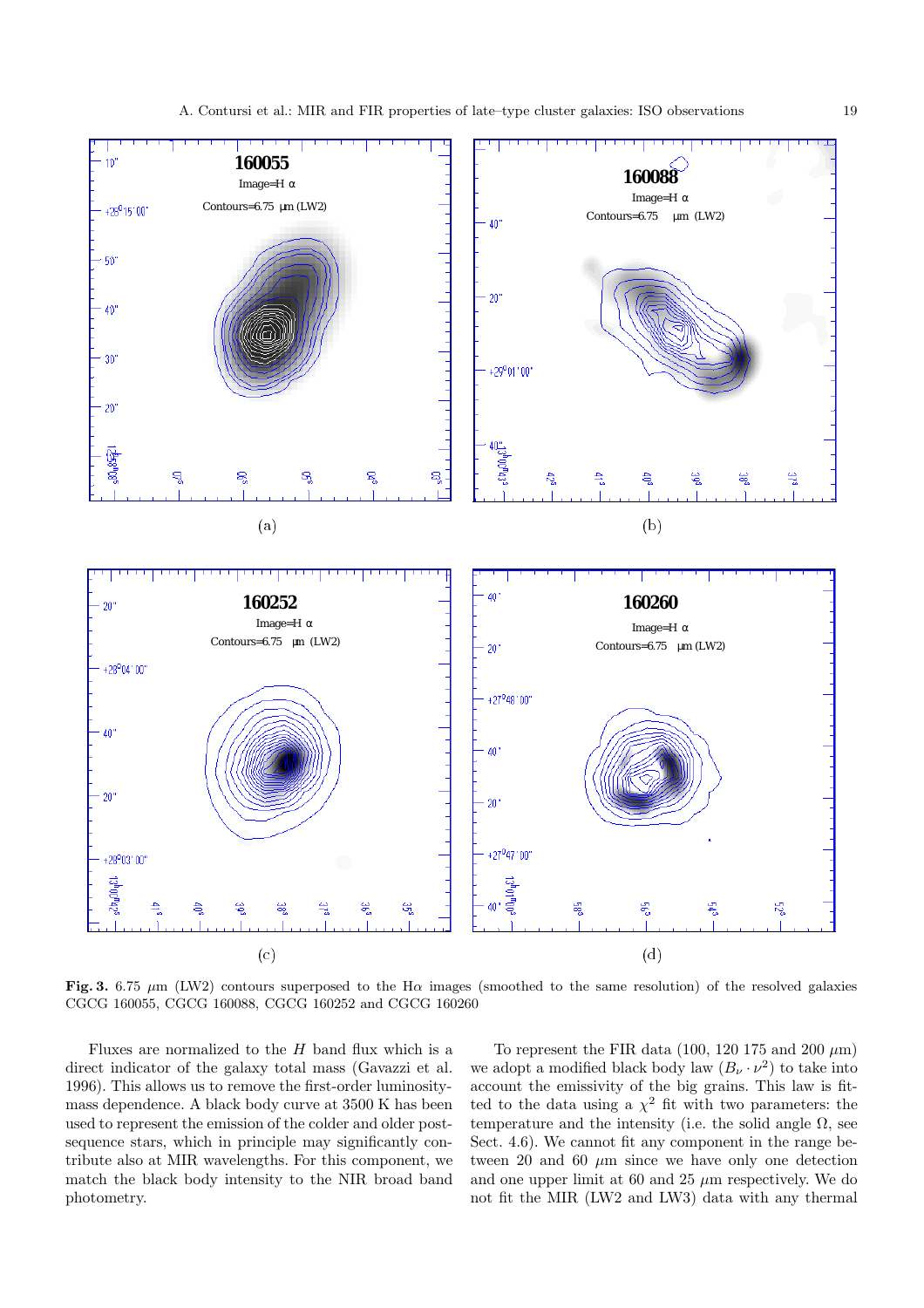

**Fig. 3.** 6.75  $\mu$ m (LW2) contours superposed to the H $\alpha$  images (smoothed to the same resolution) of the resolved galaxies CGCG 160055, CGCG 160088, CGCG 160252 and CGCG 160260

Fluxes are normalized to the  $H$  band flux which is a direct indicator of the galaxy total mass (Gavazzi et al. 1996). This allows us to remove the first-order luminositymass dependence. A black body curve at 3500 K has been used to represent the emission of the colder and older postsequence stars, which in principle may significantly contribute also at MIR wavelengths. For this component, we match the black body intensity to the NIR broad band photometry.

To represent the FIR data (100, 120 175 and 200  $\mu$ m) we adopt a modified black body law  $(B_{\nu} \cdot \nu^2)$  to take into account the emissivity of the big grains. This law is fitted to the data using a  $\chi^2$  fit with two parameters: the temperature and the intensity (i.e. the solid angle  $\Omega$ , see Sect. 4.6). We cannot fit any component in the range between 20 and 60  $\mu$ m since we have only one detection and one upper limit at 60 and 25  $\mu$ m respectively. We do not fit the MIR (LW2 and LW3) data with any thermal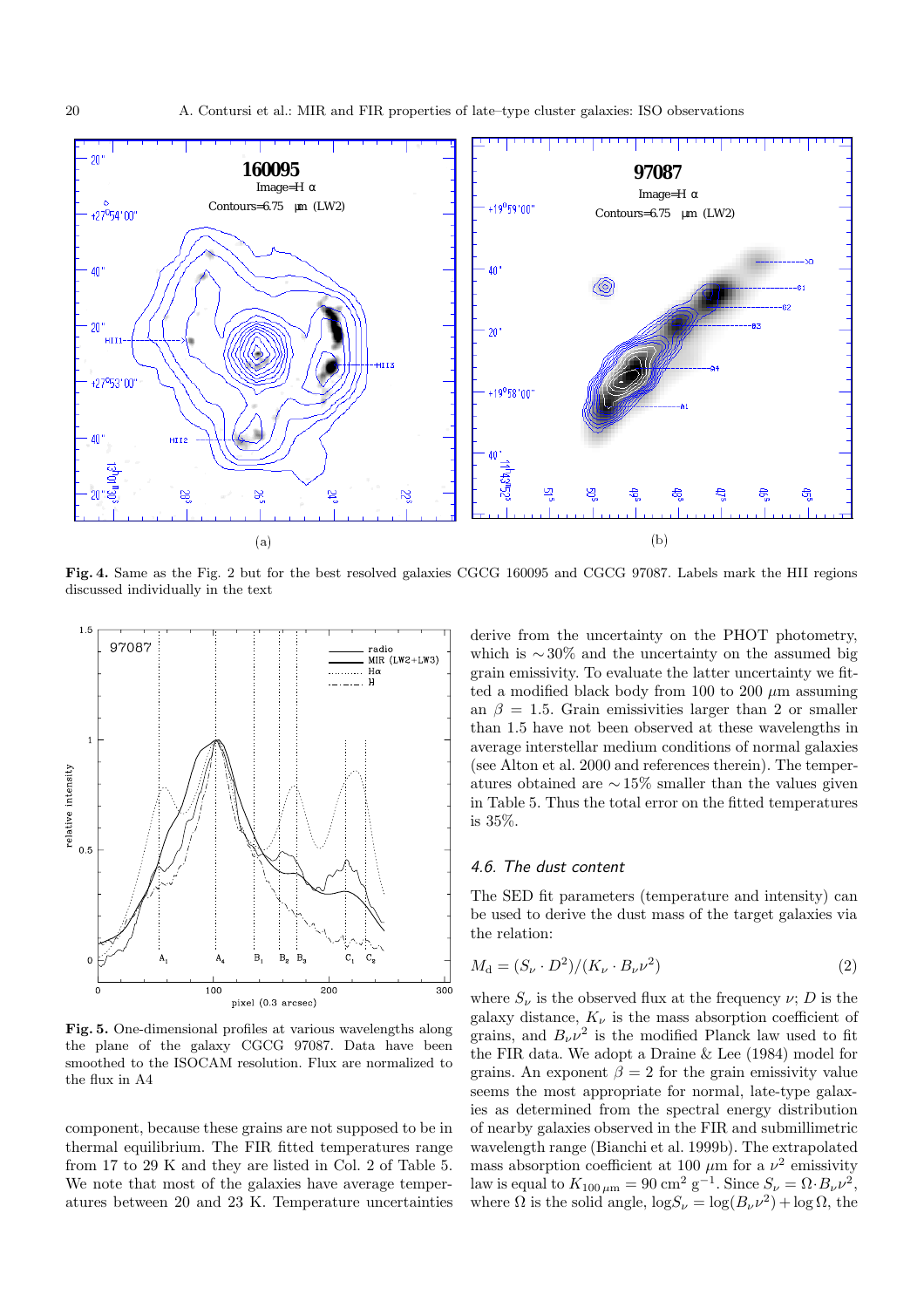

**Fig. 4.** Same as the Fig. 2 but for the best resolved galaxies CGCG 160095 and CGCG 97087. Labels mark the HII regions discussed individually in the text



**Fig. 5.** One-dimensional profiles at various wavelengths along the plane of the galaxy CGCG 97087. Data have been smoothed to the ISOCAM resolution. Flux are normalized to the flux in A4

component, because these grains are not supposed to be in thermal equilibrium. The FIR fitted temperatures range from 17 to 29 K and they are listed in Col. 2 of Table 5. We note that most of the galaxies have average temperatures between 20 and 23 K. Temperature uncertainties derive from the uncertainty on the PHOT photometry, which is  $\sim$  30% and the uncertainty on the assumed big grain emissivity. To evaluate the latter uncertainty we fitted a modified black body from 100 to 200  $\mu$ m assuming an  $\beta = 1.5$ . Grain emissivities larger than 2 or smaller than 1.5 have not been observed at these wavelengths in average interstellar medium conditions of normal galaxies (see Alton et al. 2000 and references therein). The temperatures obtained are ∼ 15% smaller than the values given in Table 5. Thus the total error on the fitted temperatures is 35%.

#### 4.6. The dust content

The SED fit parameters (temperature and intensity) can be used to derive the dust mass of the target galaxies via the relation:

$$
M_{\mathbf{d}} = (S_{\nu} \cdot D^2) / (K_{\nu} \cdot B_{\nu} \nu^2) \tag{2}
$$

where  $S_{\nu}$  is the observed flux at the frequency  $\nu$ ; D is the galaxy distance,  $K_{\nu}$  is the mass absorption coefficient of grains, and  $B_{\nu} \nu^2$  is the modified Planck law used to fit the FIR data. We adopt a Draine & Lee (1984) model for grains. An exponent  $\beta = 2$  for the grain emissivity value seems the most appropriate for normal, late-type galaxies as determined from the spectral energy distribution of nearby galaxies observed in the FIR and submillimetric wavelength range (Bianchi et al. 1999b). The extrapolated mass absorption coefficient at 100  $\mu$ m for a  $\nu^2$  emissivity law is equal to  $K_{100 \mu m} = 90 \text{ cm}^2 \text{ g}^{-1}$ . Since  $S_{\nu} = \Omega \cdot B_{\nu} \nu^2$ , where  $\Omega$  is the solid angle,  $\log S_{\nu} = \log(B_{\nu} \nu^2) + \log \Omega$ , the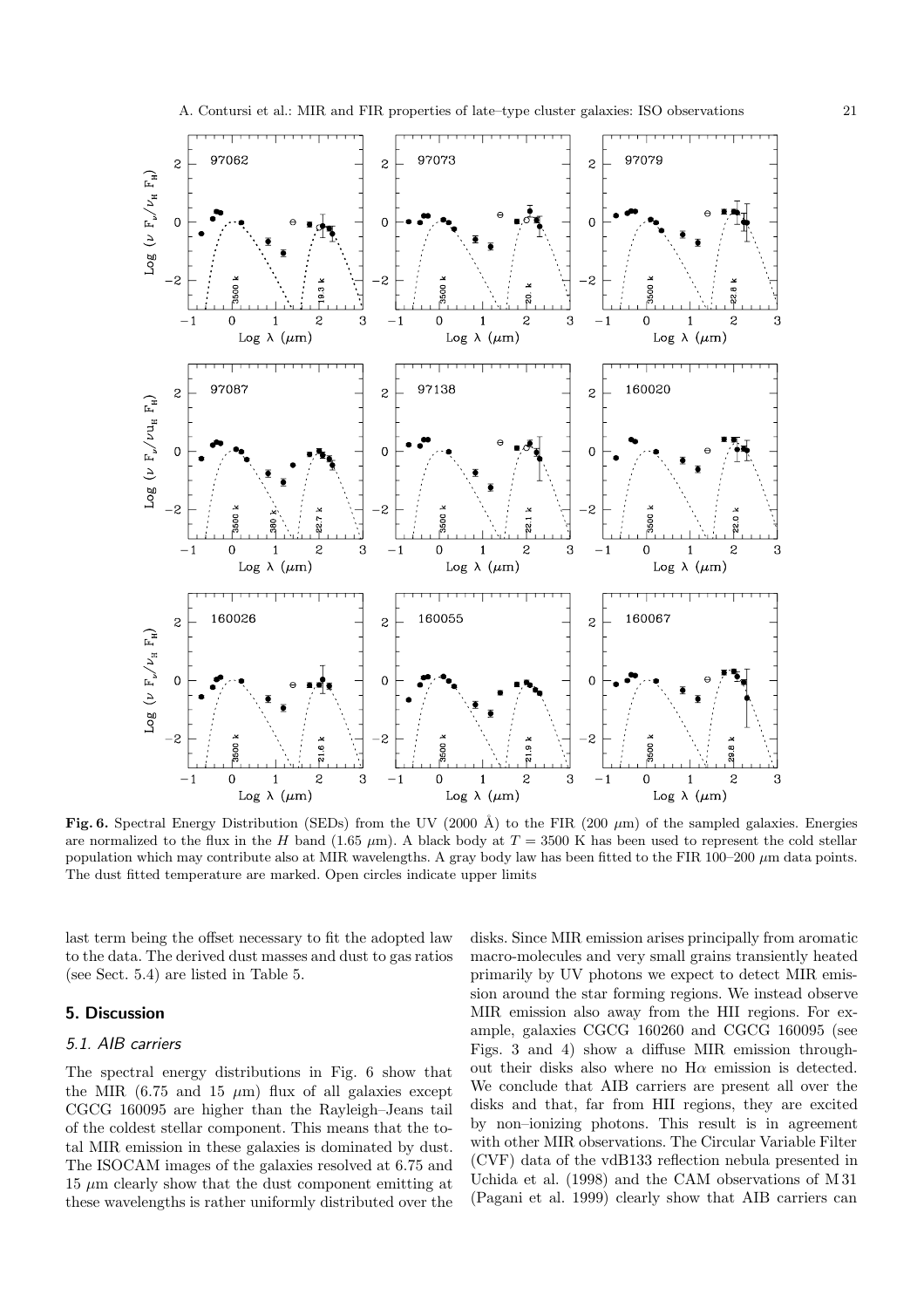

A. Contursi et al.: MIR and FIR properties of late–type cluster galaxies: ISO observations 21

Fig. 6. Spectral Energy Distribution (SEDs) from the UV (2000 Å) to the FIR (200  $\mu$ m) of the sampled galaxies. Energies are normalized to the flux in the H band (1.65  $\mu$ m). A black body at T = 3500 K has been used to represent the cold stellar population which may contribute also at MIR wavelengths. A gray body law has been fitted to the FIR 100–200  $\mu$ m data points. The dust fitted temperature are marked. Open circles indicate upper limits

last term being the offset necessary to fit the adopted law to the data. The derived dust masses and dust to gas ratios (see Sect. 5.4) are listed in Table 5.

# **5. Discussion**

#### 5.1. AIB carriers

The spectral energy distributions in Fig. 6 show that the MIR (6.75 and 15  $\mu$ m) flux of all galaxies except CGCG 160095 are higher than the Rayleigh–Jeans tail of the coldest stellar component. This means that the total MIR emission in these galaxies is dominated by dust. The ISOCAM images of the galaxies resolved at 6.75 and  $15 \mu m$  clearly show that the dust component emitting at these wavelengths is rather uniformly distributed over the disks. Since MIR emission arises principally from aromatic macro-molecules and very small grains transiently heated primarily by UV photons we expect to detect MIR emission around the star forming regions. We instead observe MIR emission also away from the HII regions. For example, galaxies CGCG 160260 and CGCG 160095 (see Figs. 3 and 4) show a diffuse MIR emission throughout their disks also where no  $H\alpha$  emission is detected. We conclude that AIB carriers are present all over the disks and that, far from HII regions, they are excited by non–ionizing photons. This result is in agreement with other MIR observations. The Circular Variable Filter (CVF) data of the vdB133 reflection nebula presented in Uchida et al. (1998) and the CAM observations of M 31 (Pagani et al. 1999) clearly show that AIB carriers can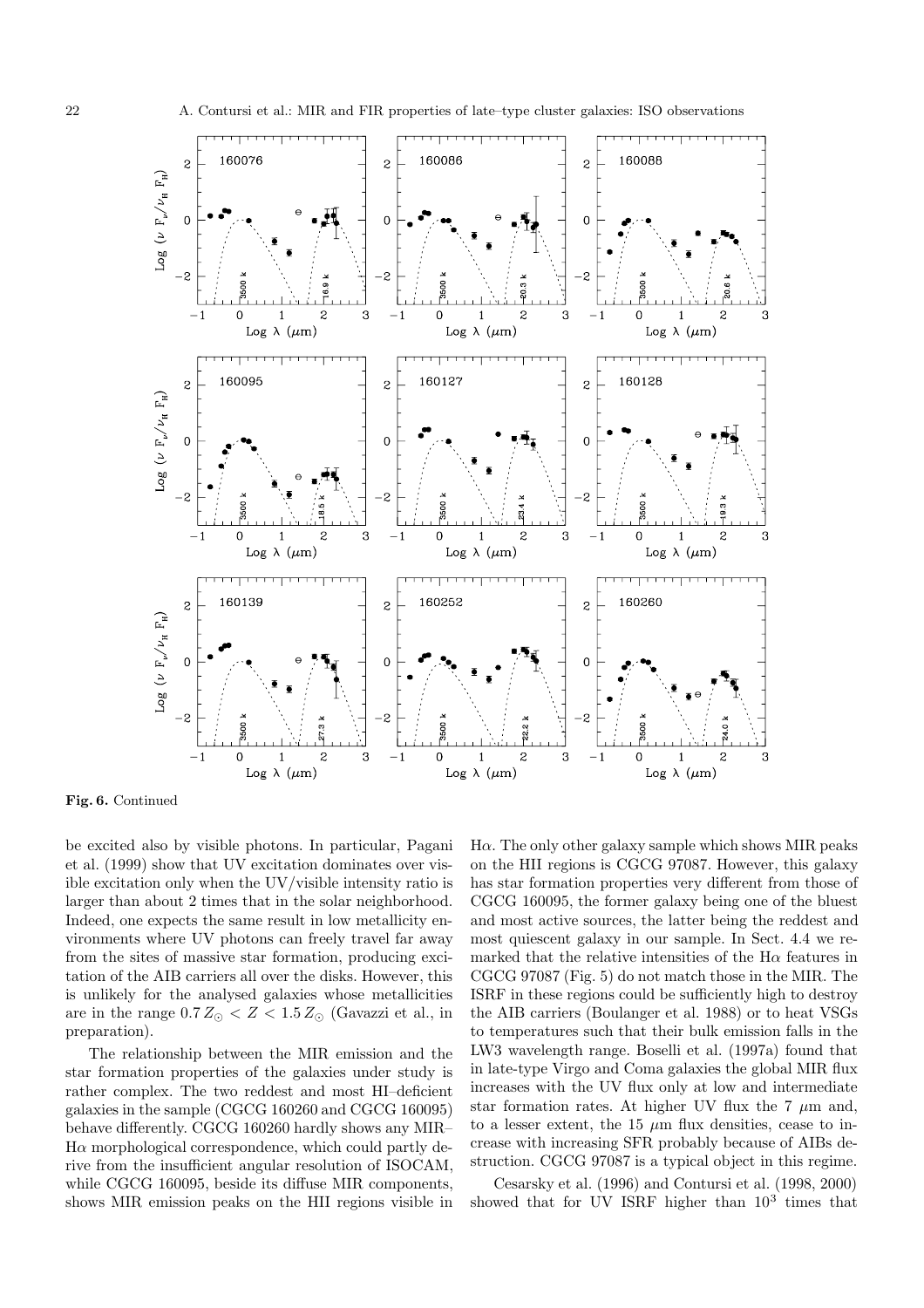

**Fig. 6.** Continued

be excited also by visible photons. In particular, Pagani et al. (1999) show that UV excitation dominates over visible excitation only when the UV/visible intensity ratio is larger than about 2 times that in the solar neighborhood. Indeed, one expects the same result in low metallicity environments where UV photons can freely travel far away from the sites of massive star formation, producing excitation of the AIB carriers all over the disks. However, this is unlikely for the analysed galaxies whose metallicities are in the range  $0.7 Z_{\odot} < Z < 1.5 Z_{\odot}$  (Gavazzi et al., in preparation).

The relationship between the MIR emission and the star formation properties of the galaxies under study is rather complex. The two reddest and most HI–deficient galaxies in the sample (CGCG 160260 and CGCG 160095) behave differently. CGCG 160260 hardly shows any MIR–  $H\alpha$  morphological correspondence, which could partly derive from the insufficient angular resolution of ISOCAM, while CGCG 160095, beside its diffuse MIR components, shows MIR emission peaks on the HII regions visible in

 $H\alpha$ . The only other galaxy sample which shows MIR peaks on the HII regions is CGCG 97087. However, this galaxy has star formation properties very different from those of CGCG 160095, the former galaxy being one of the bluest and most active sources, the latter being the reddest and most quiescent galaxy in our sample. In Sect. 4.4 we remarked that the relative intensities of the  $H\alpha$  features in CGCG 97087 (Fig. 5) do not match those in the MIR. The ISRF in these regions could be sufficiently high to destroy the AIB carriers (Boulanger et al. 1988) or to heat VSGs to temperatures such that their bulk emission falls in the LW3 wavelength range. Boselli et al. (1997a) found that in late-type Virgo and Coma galaxies the global MIR flux increases with the UV flux only at low and intermediate star formation rates. At higher UV flux the  $7 \mu m$  and, to a lesser extent, the 15  $\mu$ m flux densities, cease to increase with increasing SFR probably because of AIBs destruction. CGCG 97087 is a typical object in this regime.

Cesarsky et al. (1996) and Contursi et al. (1998, 2000) showed that for UV ISRF higher than  $10^3$  times that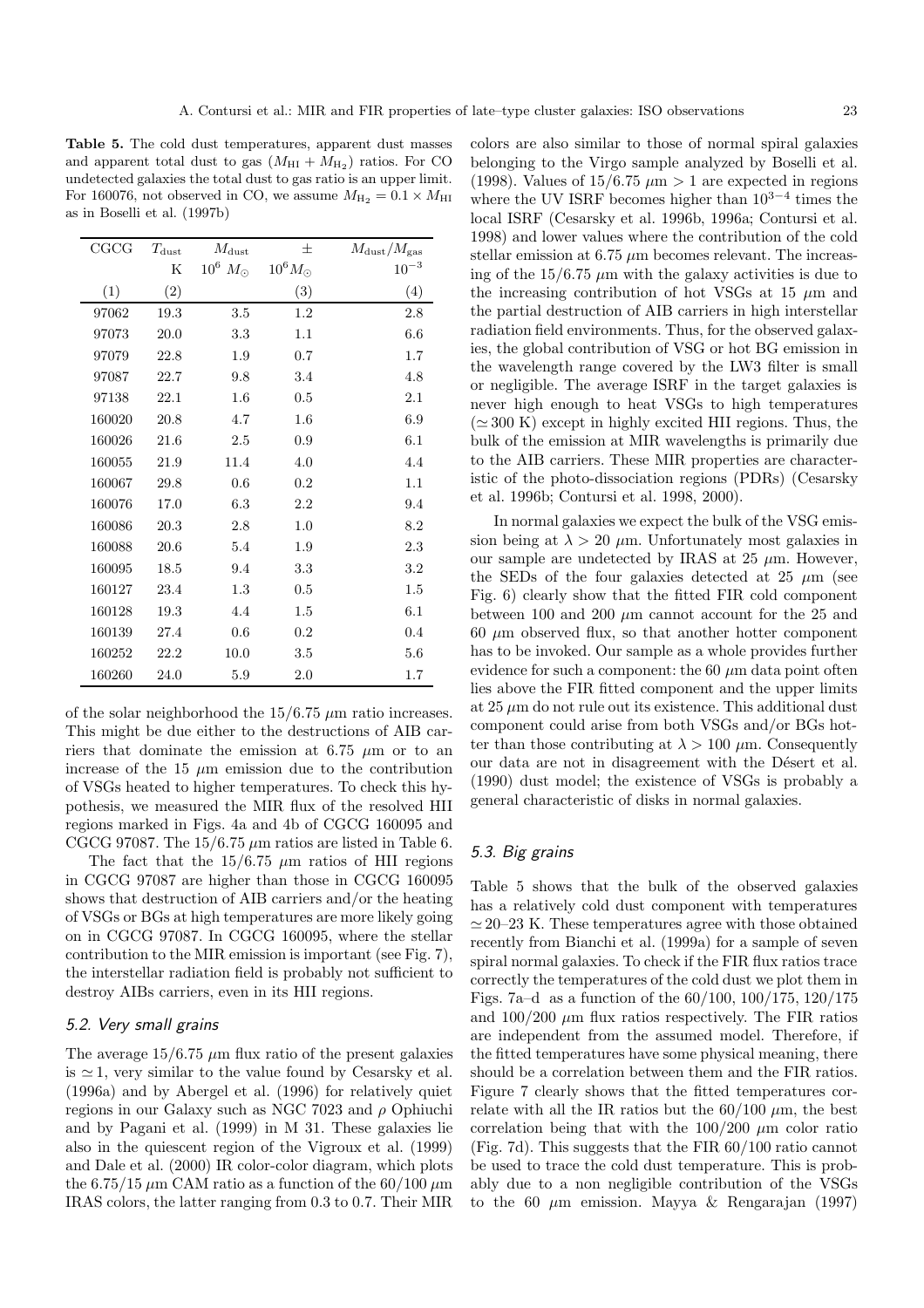**Table 5.** The cold dust temperatures, apparent dust masses and apparent total dust to gas  $(M_{\text{HI}} + M_{\text{H}_2})$  ratios. For CO undetected galaxies the total dust to gas ratio is an upper limit. For 160076, not observed in CO, we assume  $M_{\rm H_2} = 0.1 \times M_{\rm HI}$ as in Boselli et al. (1997b)

| CGCG   | $T_{\rm dust}$ | $M_{\rm dust}$     | 士                | $M_{\rm dust}/M_{\rm gas}$ |
|--------|----------------|--------------------|------------------|----------------------------|
|        | Κ              | $10^6$ $M_{\odot}$ | $10^6 M_{\odot}$ | $10^{-3}$                  |
| (1)    | (2)            |                    | (3)              | (4)                        |
| 97062  | 19.3           | 3.5                | 1.2              | $2.8\,$                    |
| 97073  | 20.0           | 3.3                | 1.1              | 6.6                        |
| 97079  | 22.8           | 1.9                | 0.7              | 1.7                        |
| 97087  | 22.7           | 9.8                | 3.4              | 4.8                        |
| 97138  | 22.1           | 1.6                | 0.5              | 2.1                        |
| 160020 | 20.8           | 4.7                | 1.6              | 6.9                        |
| 160026 | 21.6           | 2.5                | 0.9              | 6.1                        |
| 160055 | 21.9           | 11.4               | 4.0              | 4.4                        |
| 160067 | 29.8           | 0.6                | $0.2\,$          | 1.1                        |
| 160076 | 17.0           | 6.3                | 2.2              | 9.4                        |
| 160086 | 20.3           | $2.8\,$            | 1.0              | 8.2                        |
| 160088 | 20.6           | 5.4                | 1.9              | 2.3                        |
| 160095 | 18.5           | 9.4                | 3.3              | $3.2\,$                    |
| 160127 | 23.4           | 1.3                | 0.5              | 1.5                        |
| 160128 | 19.3           | 4.4                | 1.5              | 6.1                        |
| 160139 | 27.4           | 0.6                | $0.2\,$          | 0.4                        |
| 160252 | 22.2           | 10.0               | 3.5              | 5.6                        |
| 160260 | 24.0           | 5.9                | 2.0              | 1.7                        |

of the solar neighborhood the  $15/6.75 \mu m$  ratio increases. This might be due either to the destructions of AIB carriers that dominate the emission at 6.75  $\mu$ m or to an increase of the 15  $\mu$ m emission due to the contribution of VSGs heated to higher temperatures. To check this hypothesis, we measured the MIR flux of the resolved HII regions marked in Figs. 4a and 4b of CGCG 160095 and CGCG 97087. The  $15/6.75 \mu m$  ratios are listed in Table 6.

The fact that the  $15/6.75 \mu m$  ratios of HII regions in CGCG 97087 are higher than those in CGCG 160095 shows that destruction of AIB carriers and/or the heating of VSGs or BGs at high temperatures are more likely going on in CGCG 97087. In CGCG 160095, where the stellar contribution to the MIR emission is important (see Fig. 7), the interstellar radiation field is probably not sufficient to destroy AIBs carriers, even in its HII regions.

#### 5.2. Very small grains

The average  $15/6.75 \mu m$  flux ratio of the present galaxies is  $\simeq$  1, very similar to the value found by Cesarsky et al. (1996a) and by Abergel et al. (1996) for relatively quiet regions in our Galaxy such as NGC 7023 and  $\rho$  Ophiuchi and by Pagani et al. (1999) in M 31. These galaxies lie also in the quiescent region of the Vigroux et al. (1999) and Dale et al. (2000) IR color-color diagram, which plots the 6.75/15  $\mu$ m CAM ratio as a function of the 60/100  $\mu$ m IRAS colors, the latter ranging from 0.3 to 0.7. Their MIR colors are also similar to those of normal spiral galaxies belonging to the Virgo sample analyzed by Boselli et al. (1998). Values of  $15/6.75 \ \mu \text{m} > 1$  are expected in regions where the UV ISRF becomes higher than  $10^{3-4}$  times the local ISRF (Cesarsky et al. 1996b, 1996a; Contursi et al. 1998) and lower values where the contribution of the cold stellar emission at  $6.75 \mu m$  becomes relevant. The increasing of the  $15/6.75 \mu m$  with the galaxy activities is due to the increasing contribution of hot VSGs at 15  $\mu$ m and the partial destruction of AIB carriers in high interstellar radiation field environments. Thus, for the observed galaxies, the global contribution of VSG or hot BG emission in the wavelength range covered by the LW3 filter is small or negligible. The average ISRF in the target galaxies is never high enough to heat VSGs to high temperatures  $(\simeq 300 \text{ K})$  except in highly excited HII regions. Thus, the bulk of the emission at MIR wavelengths is primarily due to the AIB carriers. These MIR properties are characteristic of the photo-dissociation regions (PDRs) (Cesarsky et al. 1996b; Contursi et al. 1998, 2000).

In normal galaxies we expect the bulk of the VSG emission being at  $\lambda > 20 \mu$ m. Unfortunately most galaxies in our sample are undetected by IRAS at  $25 \mu m$ . However, the SEDs of the four galaxies detected at 25  $\mu$ m (see Fig. 6) clearly show that the fitted FIR cold component between 100 and 200  $\mu$ m cannot account for the 25 and  $60 \mu m$  observed flux, so that another hotter component has to be invoked. Our sample as a whole provides further evidence for such a component: the 60  $\mu$ m data point often lies above the FIR fitted component and the upper limits at  $25 \mu m$  do not rule out its existence. This additional dust component could arise from both VSGs and/or BGs hotter than those contributing at  $\lambda > 100 \ \mu \text{m}$ . Consequently our data are not in disagreement with the Désert et al. (1990) dust model; the existence of VSGs is probably a general characteristic of disks in normal galaxies.

# 5.3. Big grains

Table 5 shows that the bulk of the observed galaxies has a relatively cold dust component with temperatures  $\simeq$  20–23 K. These temperatures agree with those obtained recently from Bianchi et al. (1999a) for a sample of seven spiral normal galaxies. To check if the FIR flux ratios trace correctly the temperatures of the cold dust we plot them in Figs. 7a–d as a function of the 60/100, 100/175, 120/175 and  $100/200 \mu m$  flux ratios respectively. The FIR ratios are independent from the assumed model. Therefore, if the fitted temperatures have some physical meaning, there should be a correlation between them and the FIR ratios. Figure 7 clearly shows that the fitted temperatures correlate with all the IR ratios but the  $60/100 \mu m$ , the best correlation being that with the  $100/200 \mu m$  color ratio (Fig. 7d). This suggests that the FIR 60/100 ratio cannot be used to trace the cold dust temperature. This is probably due to a non negligible contribution of the VSGs to the 60  $\mu$ m emission. Mayya & Rengarajan (1997)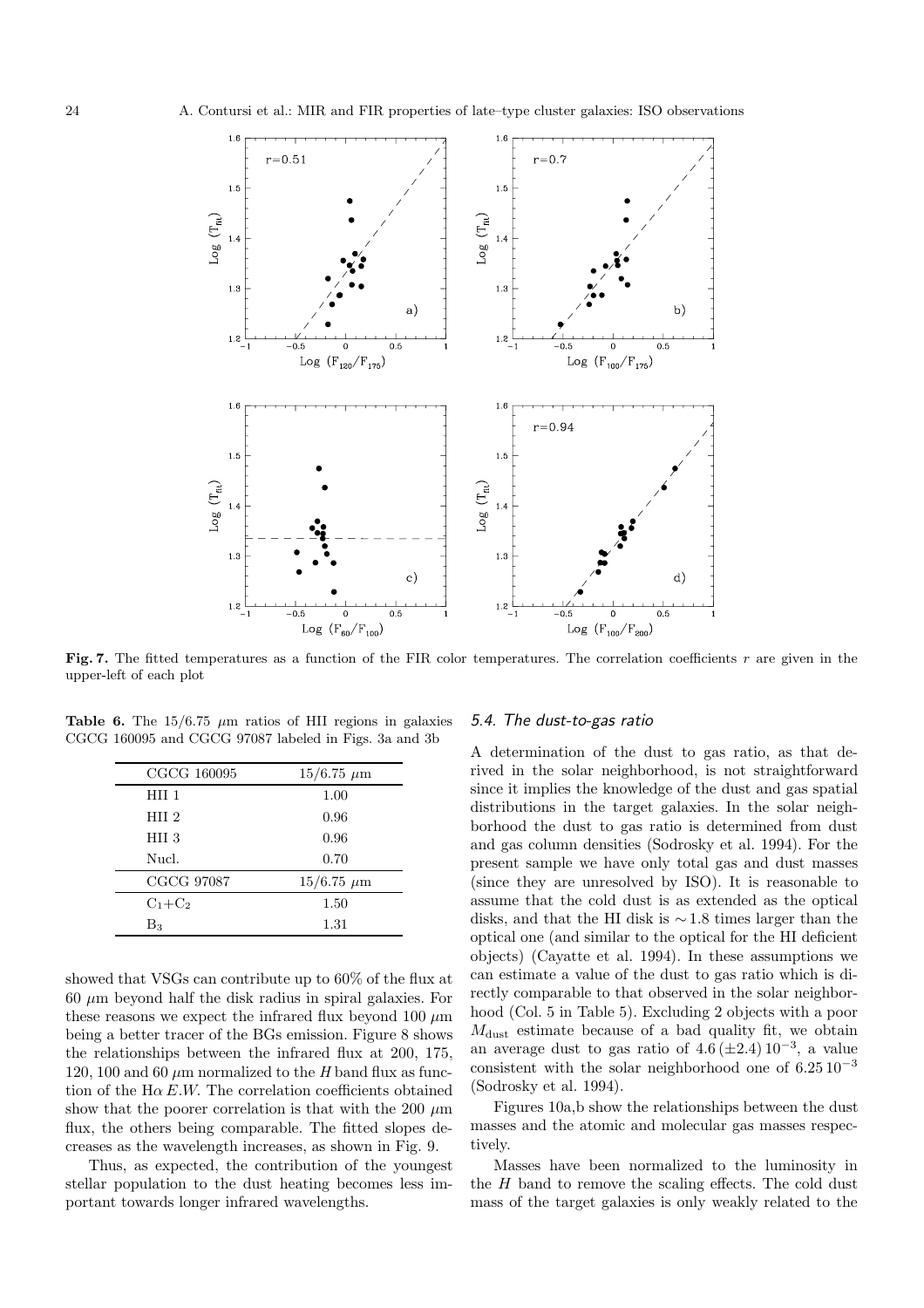

**Fig. 7.** The fitted temperatures as a function of the FIR color temperatures. The correlation coefficients r are given in the upper-left of each plot

**Table 6.** The  $15/6.75 \mu m$  ratios of HII regions in galaxies CGCG 160095 and CGCG 97087 labeled in Figs. 3a and 3b

| CGCG 160095      | $15/6.75 \ \mu m$ |
|------------------|-------------------|
| HII <sub>1</sub> | 1.00              |
| HII <sub>2</sub> | 0.96              |
| HII 3            | 0.96              |
| Nucl.            | 0.70              |
| CGCG 97087       | $15/6.75 \ \mu m$ |
| $C_1+C_2$        | 1.50              |
| $B_3$            | 1.31              |

showed that VSGs can contribute up to 60% of the flux at  $60 \mu m$  beyond half the disk radius in spiral galaxies. For these reasons we expect the infrared flux beyond 100  $\mu$ m being a better tracer of the BGs emission. Figure 8 shows the relationships between the infrared flux at 200, 175, 120, 100 and 60  $\mu$ m normalized to the H band flux as function of the  $H\alpha E.W$ . The correlation coefficients obtained show that the poorer correlation is that with the 200  $\mu$ m flux, the others being comparable. The fitted slopes decreases as the wavelength increases, as shown in Fig. 9.

Thus, as expected, the contribution of the youngest stellar population to the dust heating becomes less important towards longer infrared wavelengths.

## 5.4. The dust-to-gas ratio

A determination of the dust to gas ratio, as that derived in the solar neighborhood, is not straightforward since it implies the knowledge of the dust and gas spatial distributions in the target galaxies. In the solar neighborhood the dust to gas ratio is determined from dust and gas column densities (Sodrosky et al. 1994). For the present sample we have only total gas and dust masses (since they are unresolved by ISO). It is reasonable to assume that the cold dust is as extended as the optical disks, and that the HI disk is ∼ 1.8 times larger than the optical one (and similar to the optical for the HI deficient objects) (Cayatte et al. 1994). In these assumptions we can estimate a value of the dust to gas ratio which is directly comparable to that observed in the solar neighborhood (Col. 5 in Table 5). Excluding 2 objects with a poor  $M<sub>dist</sub>$  estimate because of a bad quality fit, we obtain an average dust to gas ratio of  $4.6 \, (\pm 2.4) \, 10^{-3}$ , a value consistent with the solar neighborhood one of  $6.25 \times 10^{-3}$ (Sodrosky et al. 1994).

Figures 10a,b show the relationships between the dust masses and the atomic and molecular gas masses respectively.

Masses have been normalized to the luminosity in the H band to remove the scaling effects. The cold dust mass of the target galaxies is only weakly related to the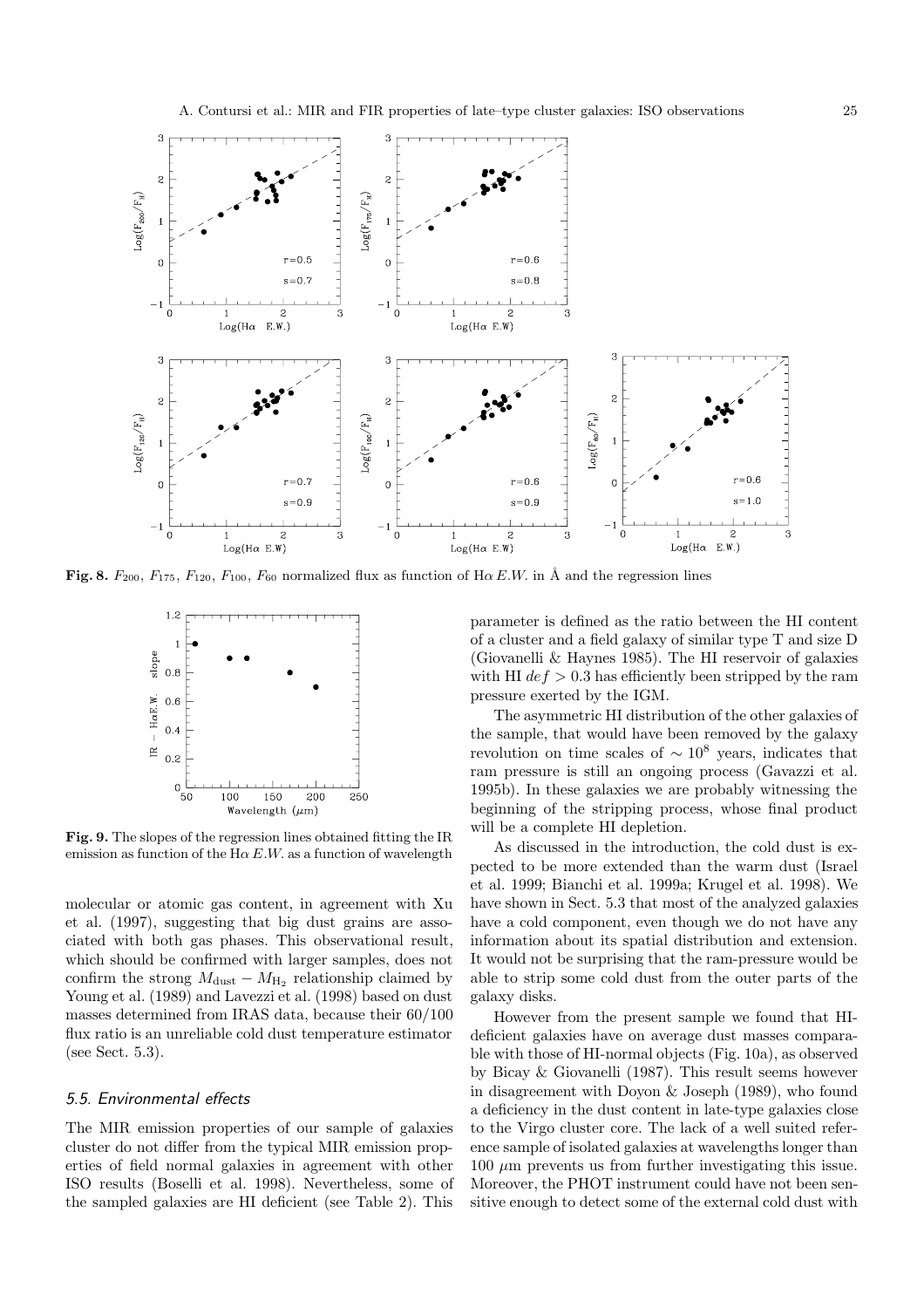

Fig. 8.  $F_{200}$ ,  $F_{175}$ ,  $F_{120}$ ,  $F_{100}$ ,  $F_{60}$  normalized flux as function of H $\alpha$  E.W. in Å and the regression lines



**Fig. 9.** The slopes of the regression lines obtained fitting the IR emission as function of the  $H\alpha E.W$  as a function of wavelength

molecular or atomic gas content, in agreement with Xu et al. (1997), suggesting that big dust grains are associated with both gas phases. This observational result, which should be confirmed with larger samples, does not confirm the strong  $M_{\text{dust}} - M_{\text{H}_2}$  relationship claimed by Young et al. (1989) and Lavezzi et al. (1998) based on dust masses determined from IRAS data, because their 60/100 flux ratio is an unreliable cold dust temperature estimator (see Sect. 5.3).

#### 5.5. Environmental effects

The MIR emission properties of our sample of galaxies cluster do not differ from the typical MIR emission properties of field normal galaxies in agreement with other ISO results (Boselli et al. 1998). Nevertheless, some of the sampled galaxies are HI deficient (see Table 2). This

parameter is defined as the ratio between the HI content of a cluster and a field galaxy of similar type T and size D (Giovanelli & Haynes 1985). The HI reservoir of galaxies with HI  $def > 0.3$  has efficiently been stripped by the ram pressure exerted by the IGM.

The asymmetric HI distribution of the other galaxies of the sample, that would have been removed by the galaxy revolution on time scales of  $\sim 10^8$  years, indicates that ram pressure is still an ongoing process (Gavazzi et al. 1995b). In these galaxies we are probably witnessing the beginning of the stripping process, whose final product will be a complete HI depletion.

As discussed in the introduction, the cold dust is expected to be more extended than the warm dust (Israel et al. 1999; Bianchi et al. 1999a; Krugel et al. 1998). We have shown in Sect. 5.3 that most of the analyzed galaxies have a cold component, even though we do not have any information about its spatial distribution and extension. It would not be surprising that the ram-pressure would be able to strip some cold dust from the outer parts of the galaxy disks.

However from the present sample we found that HIdeficient galaxies have on average dust masses comparable with those of HI-normal objects (Fig. 10a), as observed by Bicay & Giovanelli (1987). This result seems however in disagreement with Doyon & Joseph (1989), who found a deficiency in the dust content in late-type galaxies close to the Virgo cluster core. The lack of a well suited reference sample of isolated galaxies at wavelengths longer than  $100 \mu m$  prevents us from further investigating this issue. Moreover, the PHOT instrument could have not been sensitive enough to detect some of the external cold dust with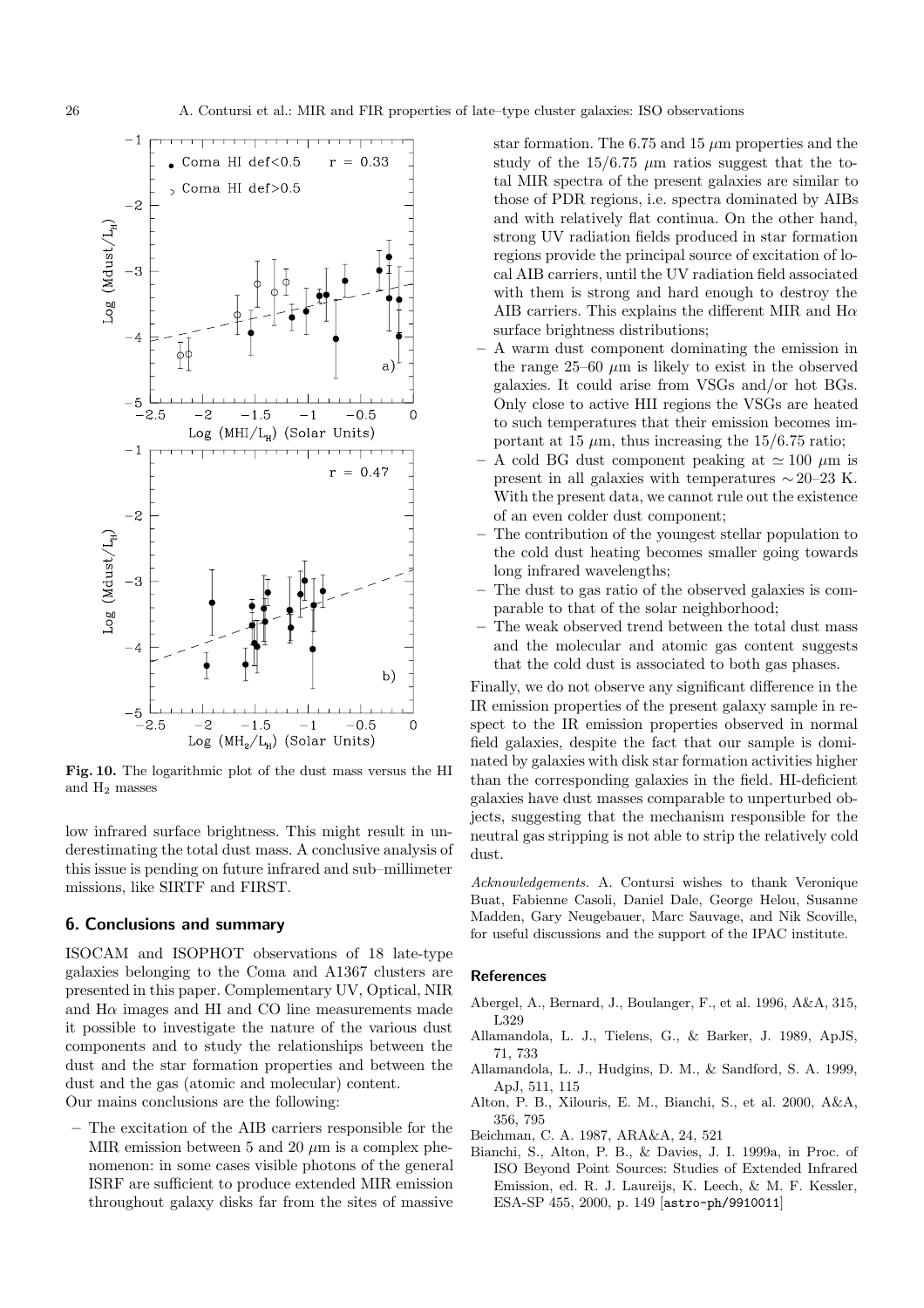

**Fig. 10.** The logarithmic plot of the dust mass versus the HI and H<sup>2</sup> masses

low infrared surface brightness. This might result in underestimating the total dust mass. A conclusive analysis of this issue is pending on future infrared and sub–millimeter missions, like SIRTF and FIRST.

#### **6. Conclusions and summary**

ISOCAM and ISOPHOT observations of 18 late-type galaxies belonging to the Coma and A1367 clusters are presented in this paper. Complementary UV, Optical, NIR and  $H\alpha$  images and  $H\alpha$  and CO line measurements made it possible to investigate the nature of the various dust components and to study the relationships between the dust and the star formation properties and between the dust and the gas (atomic and molecular) content.

Our mains conclusions are the following:

**–** The excitation of the AIB carriers responsible for the MIR emission between 5 and 20  $\mu$ m is a complex phenomenon: in some cases visible photons of the general ISRF are sufficient to produce extended MIR emission throughout galaxy disks far from the sites of massive

star formation. The 6.75 and 15  $\mu$ m properties and the study of the  $15/6.75 \mu m$  ratios suggest that the total MIR spectra of the present galaxies are similar to those of PDR regions, i.e. spectra dominated by AIBs and with relatively flat continua. On the other hand, strong UV radiation fields produced in star formation regions provide the principal source of excitation of local AIB carriers, until the UV radiation field associated with them is strong and hard enough to destroy the AIB carriers. This explains the different MIR and  $H\alpha$ surface brightness distributions;

- **–** A warm dust component dominating the emission in the range  $25-60 \mu m$  is likely to exist in the observed galaxies. It could arise from VSGs and/or hot BGs. Only close to active HII regions the VSGs are heated to such temperatures that their emission becomes important at 15  $\mu$ m, thus increasing the 15/6.75 ratio;
- $-$  A cold BG dust component peaking at  $\simeq$  100  $\mu$ m is present in all galaxies with temperatures  $\sim$  20–23 K. With the present data, we cannot rule out the existence of an even colder dust component;
- **–** The contribution of the youngest stellar population to the cold dust heating becomes smaller going towards long infrared wavelengths;
- **–** The dust to gas ratio of the observed galaxies is comparable to that of the solar neighborhood;
- **–** The weak observed trend between the total dust mass and the molecular and atomic gas content suggests that the cold dust is associated to both gas phases.

Finally, we do not observe any significant difference in the IR emission properties of the present galaxy sample in respect to the IR emission properties observed in normal field galaxies, despite the fact that our sample is dominated by galaxies with disk star formation activities higher than the corresponding galaxies in the field. HI-deficient galaxies have dust masses comparable to unperturbed objects, suggesting that the mechanism responsible for the neutral gas stripping is not able to strip the relatively cold dust.

Acknowledgements. A. Contursi wishes to thank Veronique Buat, Fabienne Casoli, Daniel Dale, George Helou, Susanne Madden, Gary Neugebauer, Marc Sauvage, and Nik Scoville, for useful discussions and the support of the IPAC institute.

#### **References**

- Abergel, A., Bernard, J., Boulanger, F., et al. 1996, A&A, 315, L329
- Allamandola, L. J., Tielens, G., & Barker, J. 1989, ApJS, 71, 733
- Allamandola, L. J., Hudgins, D. M., & Sandford, S. A. 1999, ApJ, 511, 115
- Alton, P. B., Xilouris, E. M., Bianchi, S., et al. 2000, A&A, 356, 795
- Beichman, C. A. 1987, ARA&A, 24, 521
- Bianchi, S., Alton, P. B., & Davies, J. I. 1999a, in Proc. of ISO Beyond Point Sources: Studies of Extended Infrared Emission, ed. R. J. Laureijs, K. Leech, & M. F. Kessler, ESA-SP 455, 2000, p. 149 [astro-ph/9910011]